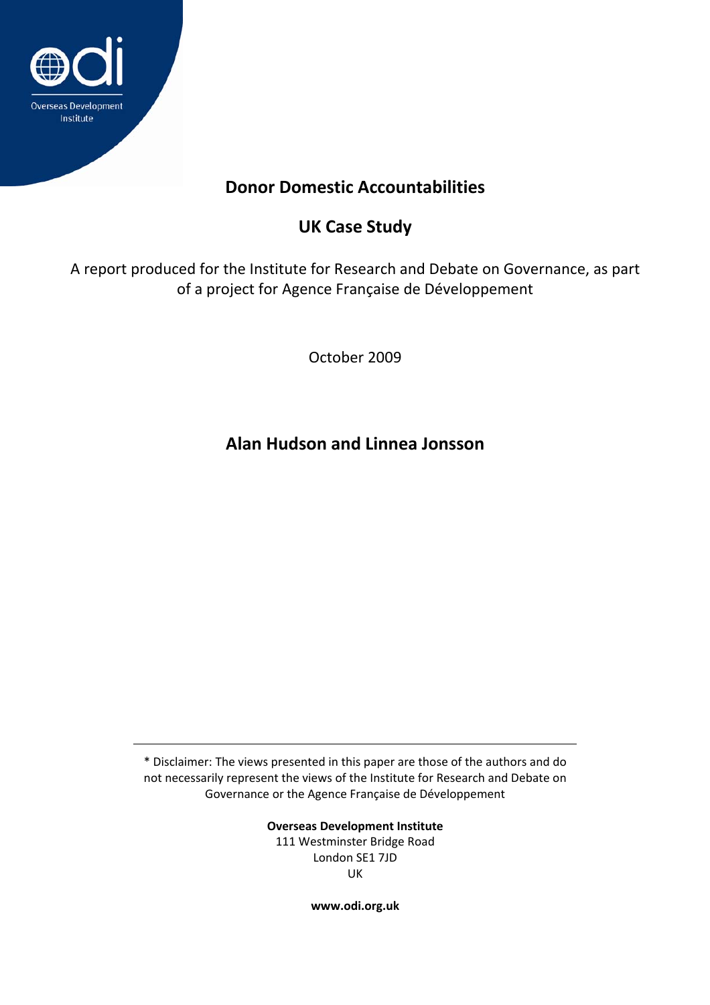

# **Donor Domestic Accountabilities**

# **UK Case Study**

A report produced for the Institute for Research and Debate on Governance, as part of a project for Agence Française de Développement

October 2009

**Alan Hudson and Linnea Jonsson**

\* Disclaimer: The views presented in this paper are those of the authors and do not necessarily represent the views of the Institute for Research and Debate on Governance or the Agence Française de Développement

> **Overseas Development Institute** 111 Westminster Bridge Road London SE1 7JD UK

> > **www.odi.org.uk**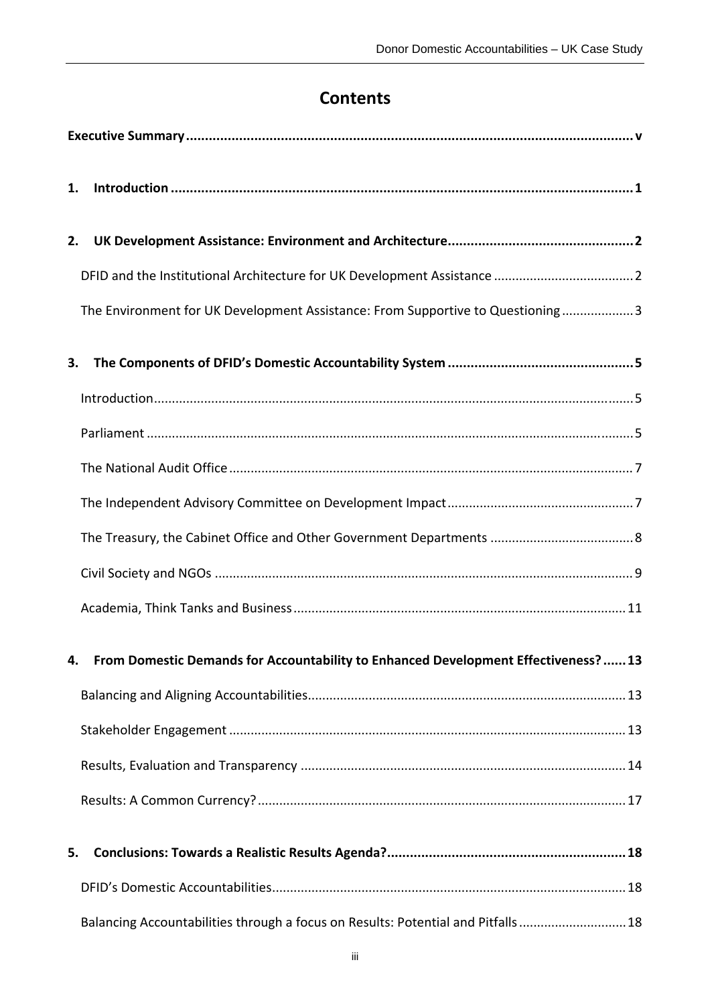# **Contents**

| 1.                                                                                     |                                                                                  |  |
|----------------------------------------------------------------------------------------|----------------------------------------------------------------------------------|--|
| 2.                                                                                     |                                                                                  |  |
|                                                                                        |                                                                                  |  |
|                                                                                        | The Environment for UK Development Assistance: From Supportive to Questioning3   |  |
| 3.                                                                                     |                                                                                  |  |
|                                                                                        |                                                                                  |  |
|                                                                                        |                                                                                  |  |
|                                                                                        |                                                                                  |  |
|                                                                                        |                                                                                  |  |
|                                                                                        |                                                                                  |  |
|                                                                                        |                                                                                  |  |
|                                                                                        |                                                                                  |  |
| 4. From Domestic Demands for Accountability to Enhanced Development Effectiveness?  13 |                                                                                  |  |
|                                                                                        |                                                                                  |  |
|                                                                                        |                                                                                  |  |
|                                                                                        |                                                                                  |  |
|                                                                                        |                                                                                  |  |
| 5.                                                                                     |                                                                                  |  |
|                                                                                        |                                                                                  |  |
|                                                                                        | Balancing Accountabilities through a focus on Results: Potential and Pitfalls 18 |  |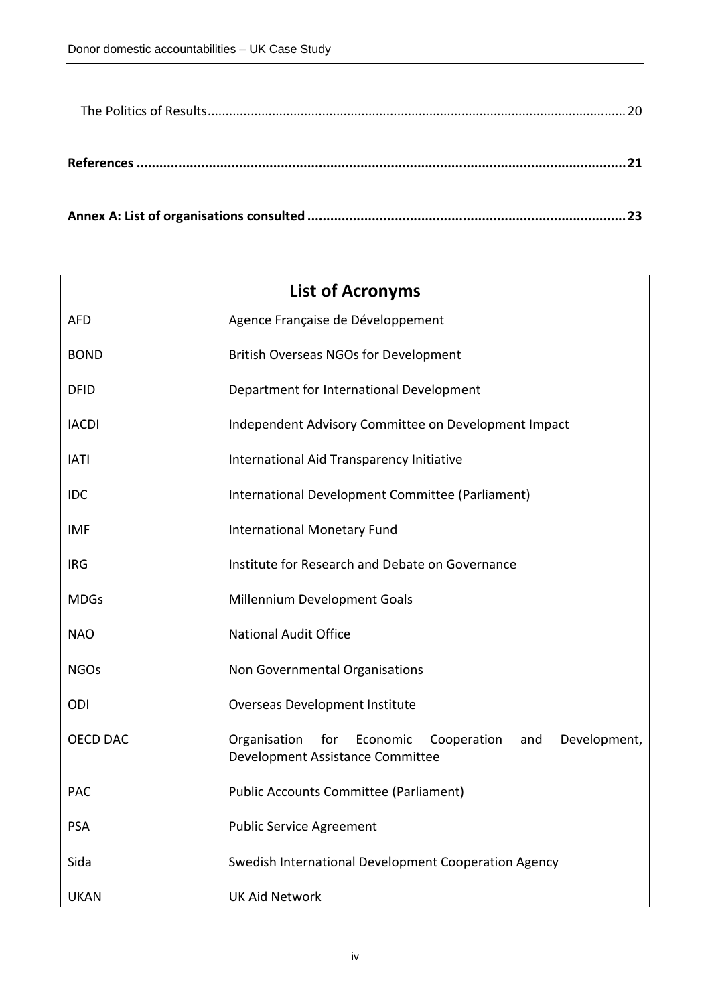| <b>List of Acronyms</b> |                                                                                                        |  |  |
|-------------------------|--------------------------------------------------------------------------------------------------------|--|--|
| <b>AFD</b>              | Agence Française de Développement                                                                      |  |  |
| <b>BOND</b>             | <b>British Overseas NGOs for Development</b>                                                           |  |  |
| <b>DFID</b>             | Department for International Development                                                               |  |  |
| <b>IACDI</b>            | Independent Advisory Committee on Development Impact                                                   |  |  |
| <b>IATI</b>             | International Aid Transparency Initiative                                                              |  |  |
| IDC                     | International Development Committee (Parliament)                                                       |  |  |
| <b>IMF</b>              | <b>International Monetary Fund</b>                                                                     |  |  |
| <b>IRG</b>              | Institute for Research and Debate on Governance                                                        |  |  |
| <b>MDGs</b>             | Millennium Development Goals                                                                           |  |  |
| <b>NAO</b>              | <b>National Audit Office</b>                                                                           |  |  |
| <b>NGOs</b>             | Non Governmental Organisations                                                                         |  |  |
| ODI                     | <b>Overseas Development Institute</b>                                                                  |  |  |
| <b>OECD DAC</b>         | Cooperation<br>Organisation<br>for Economic<br>and<br>Development,<br>Development Assistance Committee |  |  |
| <b>PAC</b>              | <b>Public Accounts Committee (Parliament)</b>                                                          |  |  |
| <b>PSA</b>              | <b>Public Service Agreement</b>                                                                        |  |  |
| Sida                    | Swedish International Development Cooperation Agency                                                   |  |  |
| <b>UKAN</b>             | <b>UK Aid Network</b>                                                                                  |  |  |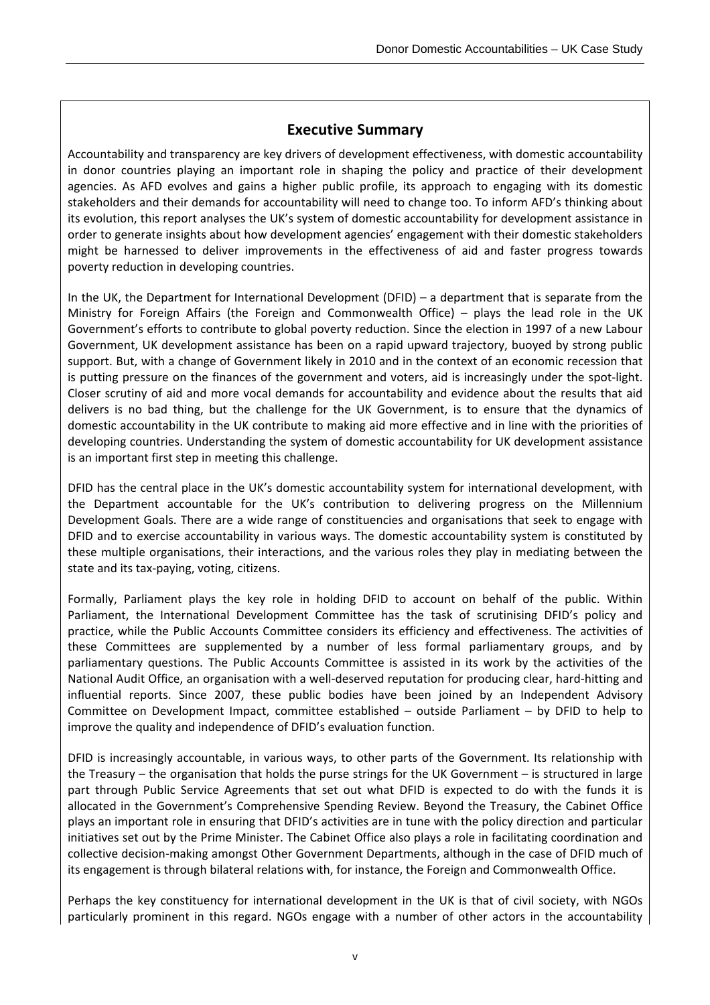## **Executive Summary**

Accountability and transparency are key drivers of development effectiveness, with domestic accountability in donor countries playing an important role in shaping the policy and practice of their development agencies. As AFD evolves and gains a higher public profile, its approach to engaging with its domestic stakeholders and their demands for accountability will need to change too. To inform AFD's thinking about its evolution, this report analyses the UK's system of domestic accountability for development assistance in order to generate insights about how development agencies' engagement with their domestic stakeholders might be harnessed to deliver improvements in the effectiveness of aid and faster progress towards poverty reduction in developing countries.

In the UK, the Department for International Development (DFID) – a department that is separate from the Ministry for Foreign Affairs (the Foreign and Commonwealth Office) – plays the lead role in the UK Government's efforts to contribute to global poverty reduction. Since the election in 1997 of a new Labour Government, UK development assistance has been on a rapid upward trajectory, buoyed by strong public support. But, with a change of Government likely in 2010 and in the context of an economic recession that is putting pressure on the finances of the government and voters, aid is increasingly under the spot‐light. Closer scrutiny of aid and more vocal demands for accountability and evidence about the results that aid delivers is no bad thing, but the challenge for the UK Government, is to ensure that the dynamics of domestic accountability in the UK contribute to making aid more effective and in line with the priorities of developing countries. Understanding the system of domestic accountability for UK development assistance is an important first step in meeting this challenge.

DFID has the central place in the UK's domestic accountability system for international development, with the Department accountable for the UK's contribution to delivering progress on the Millennium Development Goals. There are a wide range of constituencies and organisations that seek to engage with DFID and to exercise accountability in various ways. The domestic accountability system is constituted by these multiple organisations, their interactions, and the various roles they play in mediating between the state and its tax‐paying, voting, citizens.

Formally, Parliament plays the key role in holding DFID to account on behalf of the public. Within Parliament, the International Development Committee has the task of scrutinising DFID's policy and practice, while the Public Accounts Committee considers its efficiency and effectiveness. The activities of these Committees are supplemented by a number of less formal parliamentary groups, and by parliamentary questions. The Public Accounts Committee is assisted in its work by the activities of the National Audit Office, an organisation with a well‐deserved reputation for producing clear, hard‐hitting and influential reports. Since 2007, these public bodies have been joined by an Independent Advisory Committee on Development Impact, committee established – outside Parliament – by DFID to help to improve the quality and independence of DFID's evaluation function.

DFID is increasingly accountable, in various ways, to other parts of the Government. Its relationship with the Treasury – the organisation that holds the purse strings for the UK Government – is structured in large part through Public Service Agreements that set out what DFID is expected to do with the funds it is allocated in the Government's Comprehensive Spending Review. Beyond the Treasury, the Cabinet Office plays an important role in ensuring that DFID's activities are in tune with the policy direction and particular initiatives set out by the Prime Minister. The Cabinet Office also plays a role in facilitating coordination and collective decision‐making amongst Other Government Departments, although in the case of DFID much of its engagement is through bilateral relations with, for instance, the Foreign and Commonwealth Office.

Perhaps the key constituency for international development in the UK is that of civil society, with NGOs particularly prominent in this regard. NGOs engage with a number of other actors in the accountability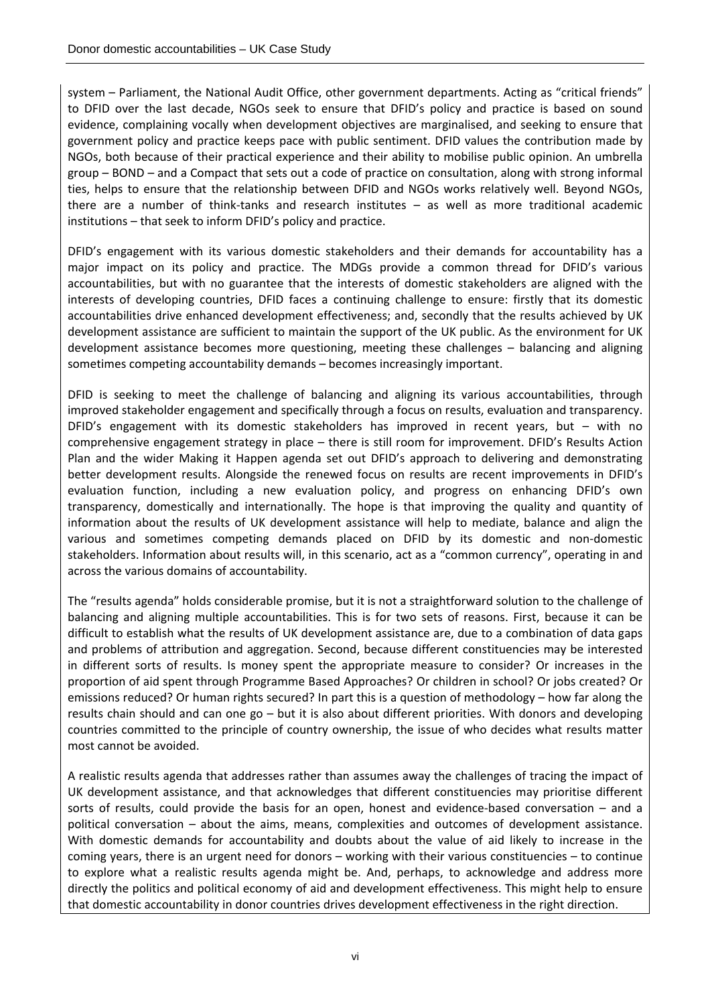system – Parliament, the National Audit Office, other government departments. Acting as "critical friends" to DFID over the last decade, NGOs seek to ensure that DFID's policy and practice is based on sound evidence, complaining vocally when development objectives are marginalised, and seeking to ensure that government policy and practice keeps pace with public sentiment. DFID values the contribution made by NGOs, both because of their practical experience and their ability to mobilise public opinion. An umbrella group – BOND – and a Compact that sets out a code of practice on consultation, along with strong informal ties, helps to ensure that the relationship between DFID and NGOs works relatively well. Beyond NGOs, there are a number of think-tanks and research institutes – as well as more traditional academic institutions – that seek to inform DFID's policy and practice.

DFID's engagement with its various domestic stakeholders and their demands for accountability has a major impact on its policy and practice. The MDGs provide a common thread for DFID's various accountabilities, but with no guarantee that the interests of domestic stakeholders are aligned with the interests of developing countries, DFID faces a continuing challenge to ensure: firstly that its domestic accountabilities drive enhanced development effectiveness; and, secondly that the results achieved by UK development assistance are sufficient to maintain the support of the UK public. As the environment for UK development assistance becomes more questioning, meeting these challenges – balancing and aligning sometimes competing accountability demands – becomes increasingly important.

DFID is seeking to meet the challenge of balancing and aligning its various accountabilities, through improved stakeholder engagement and specifically through a focus on results, evaluation and transparency. DFID's engagement with its domestic stakeholders has improved in recent years, but – with no comprehensive engagement strategy in place – there is still room for improvement. DFID's Results Action Plan and the wider Making it Happen agenda set out DFID's approach to delivering and demonstrating better development results. Alongside the renewed focus on results are recent improvements in DFID's evaluation function, including a new evaluation policy, and progress on enhancing DFID's own transparency, domestically and internationally. The hope is that improving the quality and quantity of information about the results of UK development assistance will help to mediate, balance and align the various and sometimes competing demands placed on DFID by its domestic and non‐domestic stakeholders. Information about results will, in this scenario, act as a "common currency", operating in and across the various domains of accountability.

The "results agenda" holds considerable promise, but it is not a straightforward solution to the challenge of balancing and aligning multiple accountabilities. This is for two sets of reasons. First, because it can be difficult to establish what the results of UK development assistance are, due to a combination of data gaps and problems of attribution and aggregation. Second, because different constituencies may be interested in different sorts of results. Is money spent the appropriate measure to consider? Or increases in the proportion of aid spent through Programme Based Approaches? Or children in school? Or jobs created? Or emissions reduced? Or human rights secured? In part this is a question of methodology – how far along the results chain should and can one go – but it is also about different priorities. With donors and developing countries committed to the principle of country ownership, the issue of who decides what results matter most cannot be avoided.

A realistic results agenda that addresses rather than assumes away the challenges of tracing the impact of UK development assistance, and that acknowledges that different constituencies may prioritise different sorts of results, could provide the basis for an open, honest and evidence-based conversation – and a political conversation – about the aims, means, complexities and outcomes of development assistance. With domestic demands for accountability and doubts about the value of aid likely to increase in the coming years, there is an urgent need for donors – working with their various constituencies – to continue to explore what a realistic results agenda might be. And, perhaps, to acknowledge and address more directly the politics and political economy of aid and development effectiveness. This might help to ensure that domestic accountability in donor countries drives development effectiveness in the right direction.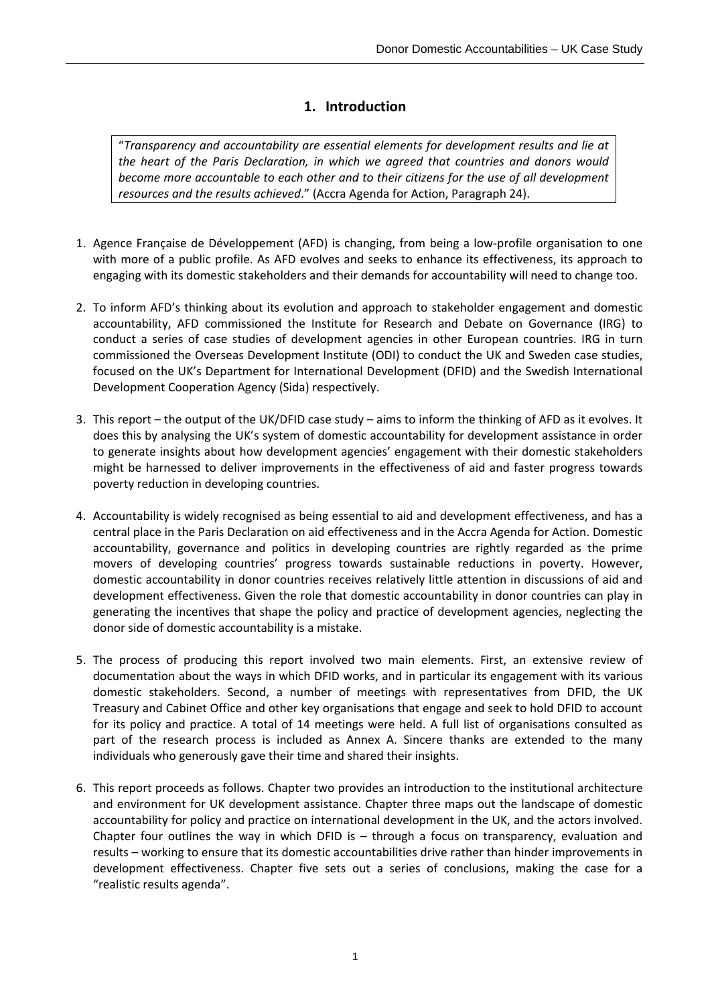## **1. Introduction**

"*Transparency and accountability are essential elements for development results and lie at the heart of the Paris Declaration, in which we agreed that countries and donors would become more accountable to each other and to their citizens for the use of all development resources and the results achieved*." (Accra Agenda for Action, Paragraph 24).

- 1. Agence Française de Développement (AFD) is changing, from being a low‐profile organisation to one with more of a public profile. As AFD evolves and seeks to enhance its effectiveness, its approach to engaging with its domestic stakeholders and their demands for accountability will need to change too.
- 2. To inform AFD's thinking about its evolution and approach to stakeholder engagement and domestic accountability, AFD commissioned the Institute for Research and Debate on Governance (IRG) to conduct a series of case studies of development agencies in other European countries. IRG in turn commissioned the Overseas Development Institute (ODI) to conduct the UK and Sweden case studies, focused on the UK's Department for International Development (DFID) and the Swedish International Development Cooperation Agency (Sida) respectively.
- 3. This report the output of the UK/DFID case study aims to inform the thinking of AFD as it evolves. It does this by analysing the UK's system of domestic accountability for development assistance in order to generate insights about how development agencies' engagement with their domestic stakeholders might be harnessed to deliver improvements in the effectiveness of aid and faster progress towards poverty reduction in developing countries.
- 4. Accountability is widely recognised as being essential to aid and development effectiveness, and has a central place in the Paris Declaration on aid effectiveness and in the Accra Agenda for Action. Domestic accountability, governance and politics in developing countries are rightly regarded as the prime movers of developing countries' progress towards sustainable reductions in poverty. However, domestic accountability in donor countries receives relatively little attention in discussions of aid and development effectiveness. Given the role that domestic accountability in donor countries can play in generating the incentives that shape the policy and practice of development agencies, neglecting the donor side of domestic accountability is a mistake.
- 5. The process of producing this report involved two main elements. First, an extensive review of documentation about the ways in which DFID works, and in particular its engagement with its various domestic stakeholders. Second, a number of meetings with representatives from DFID, the UK Treasury and Cabinet Office and other key organisations that engage and seek to hold DFID to account for its policy and practice. A total of 14 meetings were held. A full list of organisations consulted as part of the research process is included as Annex A. Sincere thanks are extended to the many individuals who generously gave their time and shared their insights.
- 6. This report proceeds as follows. Chapter two provides an introduction to the institutional architecture and environment for UK development assistance. Chapter three maps out the landscape of domestic accountability for policy and practice on international development in the UK, and the actors involved. Chapter four outlines the way in which DFID is – through a focus on transparency, evaluation and results – working to ensure that its domestic accountabilities drive rather than hinder improvements in development effectiveness. Chapter five sets out a series of conclusions, making the case for a "realistic results agenda".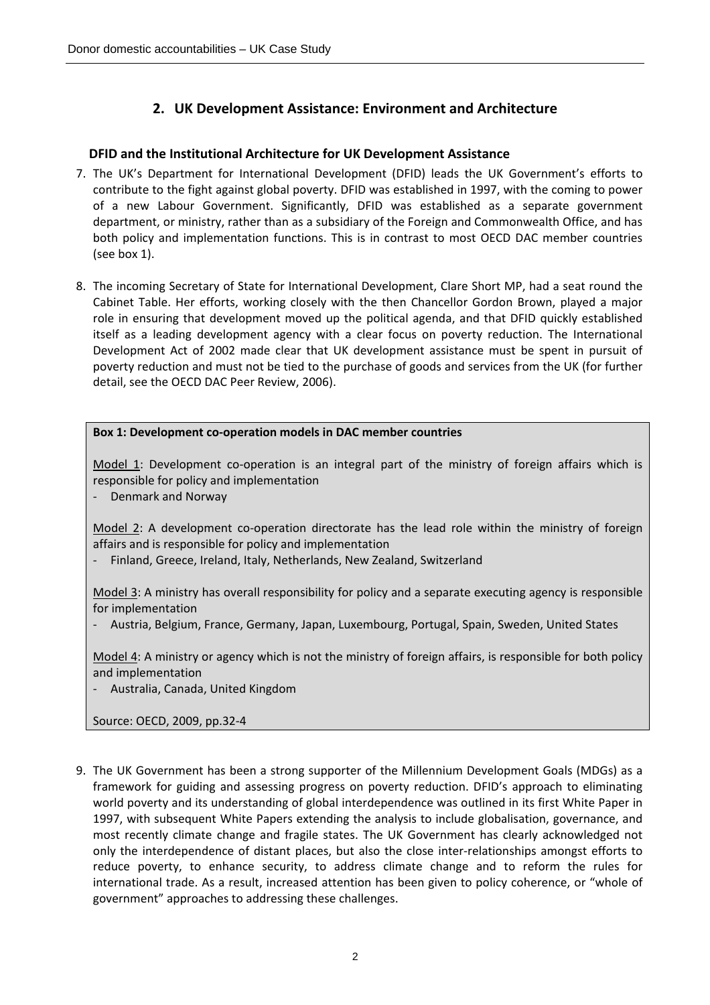## **2. UK Development Assistance: Environment and Architecture**

### **DFID and the Institutional Architecture for UK Development Assistance**

- 7. The UK's Department for International Development (DFID) leads the UK Government's efforts to contribute to the fight against global poverty. DFID was established in 1997, with the coming to power of a new Labour Government. Significantly, DFID was established as a separate government department, or ministry, rather than as a subsidiary of the Foreign and Commonwealth Office, and has both policy and implementation functions. This is in contrast to most OECD DAC member countries (see box 1).
- 8. The incoming Secretary of State for International Development, Clare Short MP, had a seat round the Cabinet Table. Her efforts, working closely with the then Chancellor Gordon Brown, played a major role in ensuring that development moved up the political agenda, and that DFID quickly established itself as a leading development agency with a clear focus on poverty reduction. The International Development Act of 2002 made clear that UK development assistance must be spent in pursuit of poverty reduction and must not be tied to the purchase of goods and services from the UK (for further detail, see the OECD DAC Peer Review, 2006).

#### **Box 1: Development co‐operation models in DAC member countries**

Model 1: Development co-operation is an integral part of the ministry of foreign affairs which is responsible for policy and implementation

‐ Denmark and Norway

Model 2: A development co-operation directorate has the lead role within the ministry of foreign affairs and is responsible for policy and implementation

‐ Finland, Greece, Ireland, Italy, Netherlands, New Zealand, Switzerland

Model 3: A ministry has overall responsibility for policy and a separate executing agency is responsible for implementation

‐ Austria, Belgium, France, Germany, Japan, Luxembourg, Portugal, Spain, Sweden, United States

Model 4: A ministry or agency which is not the ministry of foreign affairs, is responsible for both policy and implementation

‐ Australia, Canada, United Kingdom

Source: OECD, 2009, pp.32‐4

9. The UK Government has been a strong supporter of the Millennium Development Goals (MDGs) as a framework for guiding and assessing progress on poverty reduction. DFID's approach to eliminating world poverty and its understanding of global interdependence was outlined in its first White Paper in 1997, with subsequent White Papers extending the analysis to include globalisation, governance, and most recently climate change and fragile states. The UK Government has clearly acknowledged not only the interdependence of distant places, but also the close inter‐relationships amongst efforts to reduce poverty, to enhance security, to address climate change and to reform the rules for international trade. As a result, increased attention has been given to policy coherence, or "whole of government" approaches to addressing these challenges.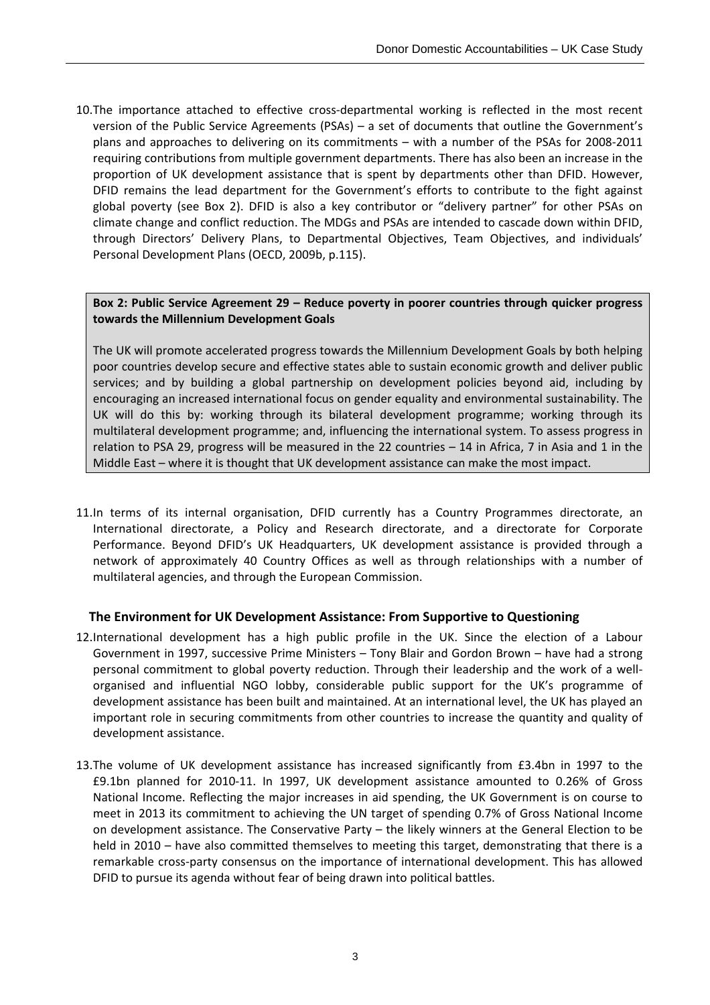10. The importance attached to effective cross-departmental working is reflected in the most recent version of the Public Service Agreements (PSAs) – a set of documents that outline the Government's plans and approaches to delivering on its commitments – with a number of the PSAs for 2008‐2011 requiring contributions from multiple government departments. There has also been an increase in the proportion of UK development assistance that is spent by departments other than DFID. However, DFID remains the lead department for the Government's efforts to contribute to the fight against global poverty (see Box 2). DFID is also a key contributor or "delivery partner" for other PSAs on climate change and conflict reduction. The MDGs and PSAs are intended to cascade down within DFID, through Directors' Delivery Plans, to Departmental Objectives, Team Objectives, and individuals' Personal Development Plans (OECD, 2009b, p.115).

#### **Box 2: Public Service Agreement 29 – Reduce poverty in poorer countries through quicker progress towards the Millennium Development Goals**

The UK will promote accelerated progress towards the Millennium Development Goals by both helping poor countries develop secure and effective states able to sustain economic growth and deliver public services; and by building a global partnership on development policies beyond aid, including by encouraging an increased international focus on gender equality and environmental sustainability. The UK will do this by: working through its bilateral development programme; working through its multilateral development programme; and, influencing the international system. To assess progress in relation to PSA 29, progress will be measured in the 22 countries – 14 in Africa, 7 in Asia and 1 in the Middle East – where it is thought that UK development assistance can make the most impact.

11.In terms of its internal organisation, DFID currently has a Country Programmes directorate, an International directorate, a Policy and Research directorate, and a directorate for Corporate Performance. Beyond DFID's UK Headquarters, UK development assistance is provided through a network of approximately 40 Country Offices as well as through relationships with a number of multilateral agencies, and through the European Commission.

#### **The Environment for UK Development Assistance: From Supportive to Questioning**

- 12.International development has a high public profile in the UK. Since the election of a Labour Government in 1997, successive Prime Ministers – Tony Blair and Gordon Brown – have had a strong personal commitment to global poverty reduction. Through their leadership and the work of a well‐ organised and influential NGO lobby, considerable public support for the UK's programme of development assistance has been built and maintained. At an international level, the UK has played an important role in securing commitments from other countries to increase the quantity and quality of development assistance.
- 13.The volume of UK development assistance has increased significantly from £3.4bn in 1997 to the £9.1bn planned for 2010‐11. In 1997, UK development assistance amounted to 0.26% of Gross National Income. Reflecting the major increases in aid spending, the UK Government is on course to meet in 2013 its commitment to achieving the UN target of spending 0.7% of Gross National Income on development assistance. The Conservative Party – the likely winners at the General Election to be held in 2010 – have also committed themselves to meeting this target, demonstrating that there is a remarkable cross‐party consensus on the importance of international development. This has allowed DFID to pursue its agenda without fear of being drawn into political battles.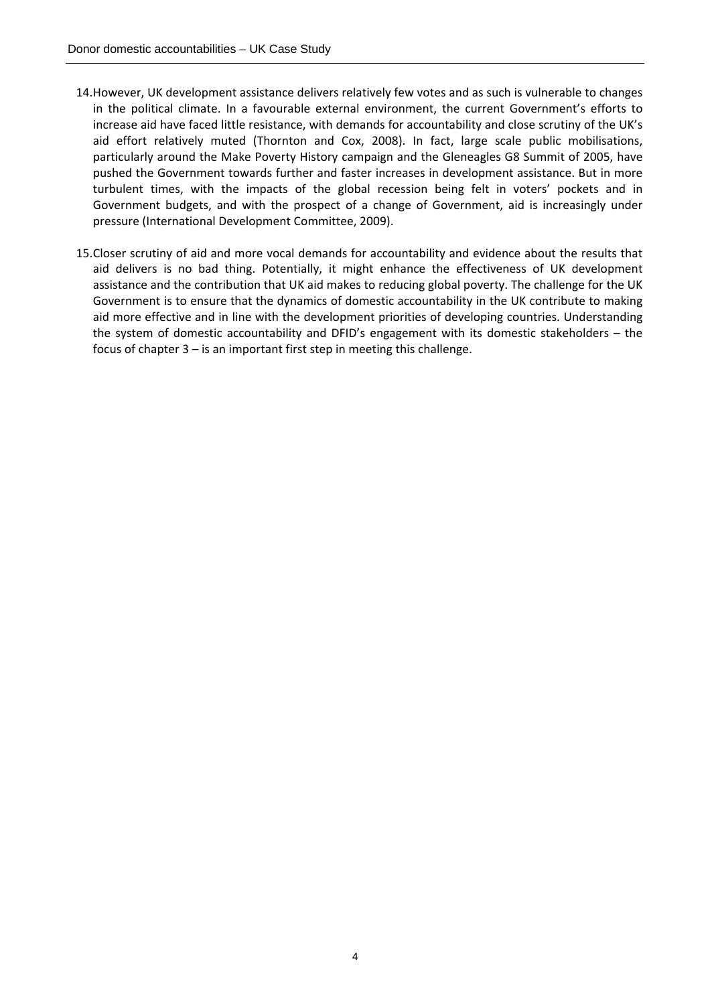- 14.However, UK development assistance delivers relatively few votes and as such is vulnerable to changes in the political climate. In a favourable external environment, the current Government's efforts to increase aid have faced little resistance, with demands for accountability and close scrutiny of the UK's aid effort relatively muted (Thornton and Cox, 2008). In fact, large scale public mobilisations, particularly around the Make Poverty History campaign and the Gleneagles G8 Summit of 2005, have pushed the Government towards further and faster increases in development assistance. But in more turbulent times, with the impacts of the global recession being felt in voters' pockets and in Government budgets, and with the prospect of a change of Government, aid is increasingly under pressure (International Development Committee, 2009).
- 15.Closer scrutiny of aid and more vocal demands for accountability and evidence about the results that aid delivers is no bad thing. Potentially, it might enhance the effectiveness of UK development assistance and the contribution that UK aid makes to reducing global poverty. The challenge for the UK Government is to ensure that the dynamics of domestic accountability in the UK contribute to making aid more effective and in line with the development priorities of developing countries. Understanding the system of domestic accountability and DFID's engagement with its domestic stakeholders – the focus of chapter 3 – is an important first step in meeting this challenge.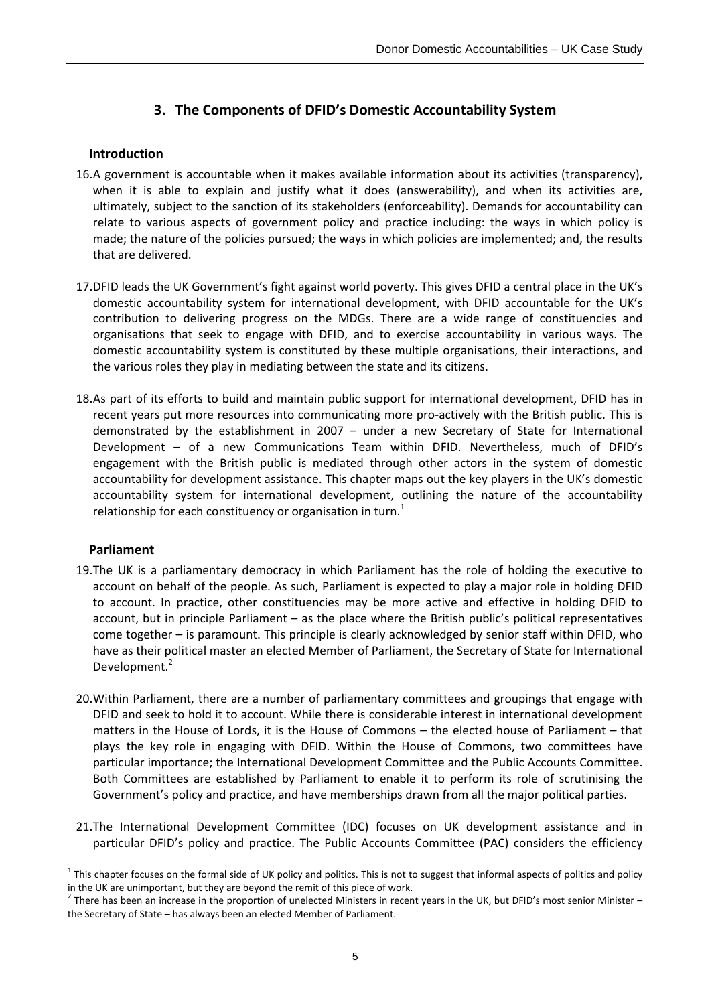## **3. The Components of DFID's Domestic Accountability System**

#### **Introduction**

- 16.A government is accountable when it makes available information about its activities (transparency), when it is able to explain and justify what it does (answerability), and when its activities are, ultimately, subject to the sanction of its stakeholders (enforceability). Demands for accountability can relate to various aspects of government policy and practice including: the ways in which policy is made; the nature of the policies pursued; the ways in which policies are implemented; and, the results that are delivered.
- 17.DFID leads the UK Government's fight against world poverty. This gives DFID a central place in the UK's domestic accountability system for international development, with DFID accountable for the UK's contribution to delivering progress on the MDGs. There are a wide range of constituencies and organisations that seek to engage with DFID, and to exercise accountability in various ways. The domestic accountability system is constituted by these multiple organisations, their interactions, and the various roles they play in mediating between the state and its citizens.
- 18.As part of its efforts to build and maintain public support for international development, DFID has in recent years put more resources into communicating more pro-actively with the British public. This is demonstrated by the establishment in 2007 – under a new Secretary of State for International Development – of a new Communications Team within DFID. Nevertheless, much of DFID's engagement with the British public is mediated through other actors in the system of domestic accountability for development assistance. This chapter maps out the key players in the UK's domestic accountability system for international development, outlining the nature of the accountability relationship for each constituency or organisation in turn. $<sup>1</sup>$ </sup>

#### **Parliament**

- 19.The UK is a parliamentary democracy in which Parliament has the role of holding the executive to account on behalf of the people. As such, Parliament is expected to play a major role in holding DFID to account. In practice, other constituencies may be more active and effective in holding DFID to account, but in principle Parliament – as the place where the British public's political representatives come together – is paramount. This principle is clearly acknowledged by senior staff within DFID, who have as their political master an elected Member of Parliament, the Secretary of State for International Development.<sup>2</sup>
- 20.Within Parliament, there are a number of parliamentary committees and groupings that engage with DFID and seek to hold it to account. While there is considerable interest in international development matters in the House of Lords, it is the House of Commons – the elected house of Parliament – that plays the key role in engaging with DFID. Within the House of Commons, two committees have particular importance; the International Development Committee and the Public Accounts Committee. Both Committees are established by Parliament to enable it to perform its role of scrutinising the Government's policy and practice, and have memberships drawn from all the major political parties.
- 21.The International Development Committee (IDC) focuses on UK development assistance and in particular DFID's policy and practice. The Public Accounts Committee (PAC) considers the efficiency

 $1$  This chapter focuses on the formal side of UK policy and politics. This is not to suggest that informal aspects of politics and policy

in the UK are unimportant, but they are beyond the remit of this piece of work.<br><sup>2</sup> There has been an increase in the proportion of unelected Ministers in recent years in the UK, but DFID's most senior Minister – the Secretary of State – has always been an elected Member of Parliament.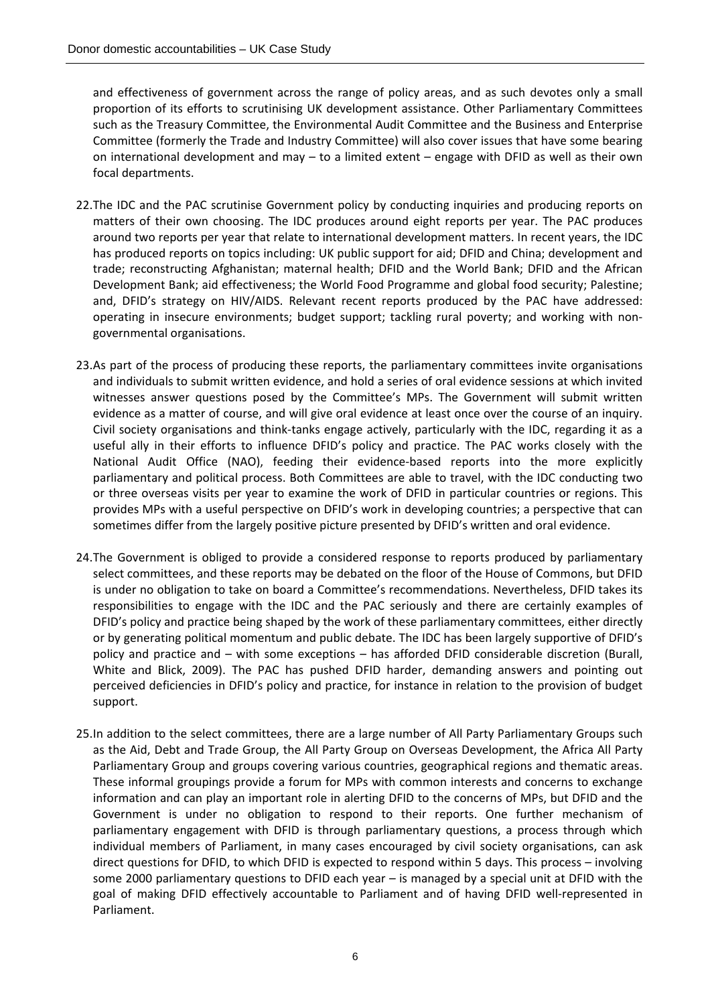and effectiveness of government across the range of policy areas, and as such devotes only a small proportion of its efforts to scrutinising UK development assistance. Other Parliamentary Committees such as the Treasury Committee, the Environmental Audit Committee and the Business and Enterprise Committee (formerly the Trade and Industry Committee) will also cover issues that have some bearing on international development and may – to a limited extent – engage with DFID as well as their own focal departments.

- 22.The IDC and the PAC scrutinise Government policy by conducting inquiries and producing reports on matters of their own choosing. The IDC produces around eight reports per year. The PAC produces around two reports per year that relate to international development matters. In recent years, the IDC has produced reports on topics including: UK public support for aid; DFID and China; development and trade; reconstructing Afghanistan; maternal health; DFID and the World Bank; DFID and the African Development Bank; aid effectiveness; the World Food Programme and global food security; Palestine; and, DFID's strategy on HIV/AIDS. Relevant recent reports produced by the PAC have addressed: operating in insecure environments; budget support; tackling rural poverty; and working with non‐ governmental organisations.
- 23.As part of the process of producing these reports, the parliamentary committees invite organisations and individuals to submit written evidence, and hold a series of oral evidence sessions at which invited witnesses answer questions posed by the Committee's MPs. The Government will submit written evidence as a matter of course, and will give oral evidence at least once over the course of an inquiry. Civil society organisations and think‐tanks engage actively, particularly with the IDC, regarding it as a useful ally in their efforts to influence DFID's policy and practice. The PAC works closely with the National Audit Office (NAO), feeding their evidence-based reports into the more explicitly parliamentary and political process. Both Committees are able to travel, with the IDC conducting two or three overseas visits per year to examine the work of DFID in particular countries or regions. This provides MPs with a useful perspective on DFID's work in developing countries; a perspective that can sometimes differ from the largely positive picture presented by DFID's written and oral evidence.
- 24.The Government is obliged to provide a considered response to reports produced by parliamentary select committees, and these reports may be debated on the floor of the House of Commons, but DFID is under no obligation to take on board a Committee's recommendations. Nevertheless, DFID takes its responsibilities to engage with the IDC and the PAC seriously and there are certainly examples of DFID's policy and practice being shaped by the work of these parliamentary committees, either directly or by generating political momentum and public debate. The IDC has been largely supportive of DFID's policy and practice and – with some exceptions – has afforded DFID considerable discretion (Burall, White and Blick, 2009). The PAC has pushed DFID harder, demanding answers and pointing out perceived deficiencies in DFID's policy and practice, for instance in relation to the provision of budget support.
- 25.In addition to the select committees, there are a large number of All Party Parliamentary Groups such as the Aid, Debt and Trade Group, the All Party Group on Overseas Development, the Africa All Party Parliamentary Group and groups covering various countries, geographical regions and thematic areas. These informal groupings provide a forum for MPs with common interests and concerns to exchange information and can play an important role in alerting DFID to the concerns of MPs, but DFID and the Government is under no obligation to respond to their reports. One further mechanism of parliamentary engagement with DFID is through parliamentary questions, a process through which individual members of Parliament, in many cases encouraged by civil society organisations, can ask direct questions for DFID, to which DFID is expected to respond within 5 days. This process – involving some 2000 parliamentary questions to DFID each year – is managed by a special unit at DFID with the goal of making DFID effectively accountable to Parliament and of having DFID well-represented in Parliament.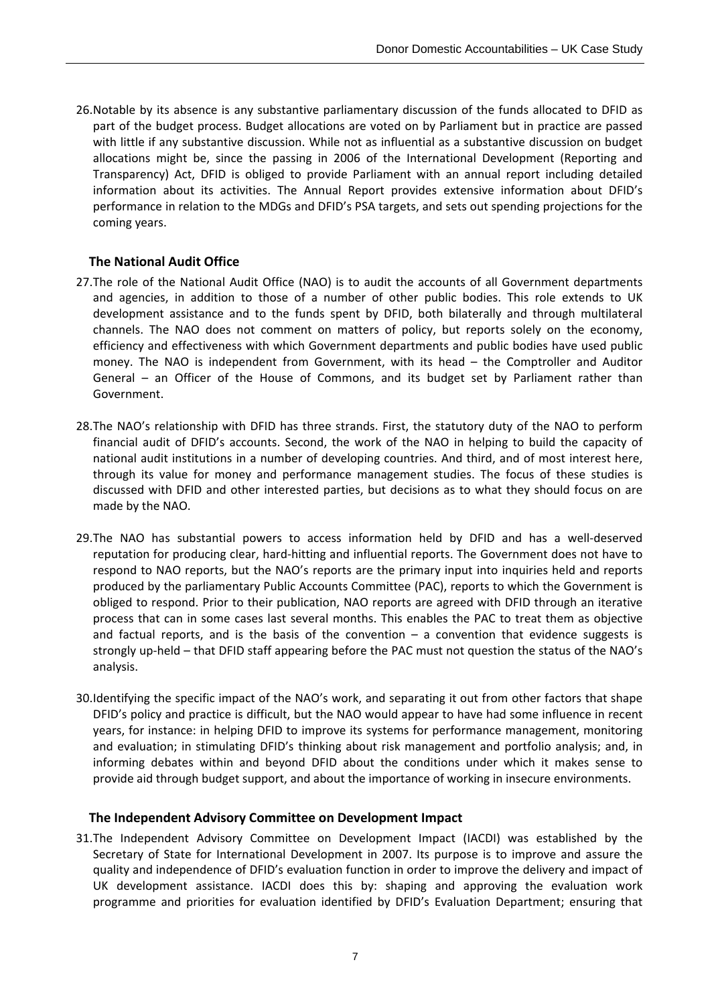26.Notable by its absence is any substantive parliamentary discussion of the funds allocated to DFID as part of the budget process. Budget allocations are voted on by Parliament but in practice are passed with little if any substantive discussion. While not as influential as a substantive discussion on budget allocations might be, since the passing in 2006 of the International Development (Reporting and Transparency) Act, DFID is obliged to provide Parliament with an annual report including detailed information about its activities. The Annual Report provides extensive information about DFID's performance in relation to the MDGs and DFID's PSA targets, and sets out spending projections for the coming years.

### **The National Audit Office**

- 27.The role of the National Audit Office (NAO) is to audit the accounts of all Government departments and agencies, in addition to those of a number of other public bodies. This role extends to UK development assistance and to the funds spent by DFID, both bilaterally and through multilateral channels. The NAO does not comment on matters of policy, but reports solely on the economy, efficiency and effectiveness with which Government departments and public bodies have used public money. The NAO is independent from Government, with its head – the Comptroller and Auditor General – an Officer of the House of Commons, and its budget set by Parliament rather than Government.
- 28.The NAO's relationship with DFID has three strands. First, the statutory duty of the NAO to perform financial audit of DFID's accounts. Second, the work of the NAO in helping to build the capacity of national audit institutions in a number of developing countries. And third, and of most interest here, through its value for money and performance management studies. The focus of these studies is discussed with DFID and other interested parties, but decisions as to what they should focus on are made by the NAO.
- 29.The NAO has substantial powers to access information held by DFID and has a well‐deserved reputation for producing clear, hard‐hitting and influential reports. The Government does not have to respond to NAO reports, but the NAO's reports are the primary input into inquiries held and reports produced by the parliamentary Public Accounts Committee (PAC), reports to which the Government is obliged to respond. Prior to their publication, NAO reports are agreed with DFID through an iterative process that can in some cases last several months. This enables the PAC to treat them as objective and factual reports, and is the basis of the convention  $-$  a convention that evidence suggests is strongly up-held – that DFID staff appearing before the PAC must not question the status of the NAO's analysis.
- 30.Identifying the specific impact of the NAO's work, and separating it out from other factors that shape DFID's policy and practice is difficult, but the NAO would appear to have had some influence in recent years, for instance: in helping DFID to improve its systems for performance management, monitoring and evaluation; in stimulating DFID's thinking about risk management and portfolio analysis; and, in informing debates within and beyond DFID about the conditions under which it makes sense to provide aid through budget support, and about the importance of working in insecure environments.

#### **The Independent Advisory Committee on Development Impact**

31.The Independent Advisory Committee on Development Impact (IACDI) was established by the Secretary of State for International Development in 2007. Its purpose is to improve and assure the quality and independence of DFID's evaluation function in order to improve the delivery and impact of UK development assistance. IACDI does this by: shaping and approving the evaluation work programme and priorities for evaluation identified by DFID's Evaluation Department; ensuring that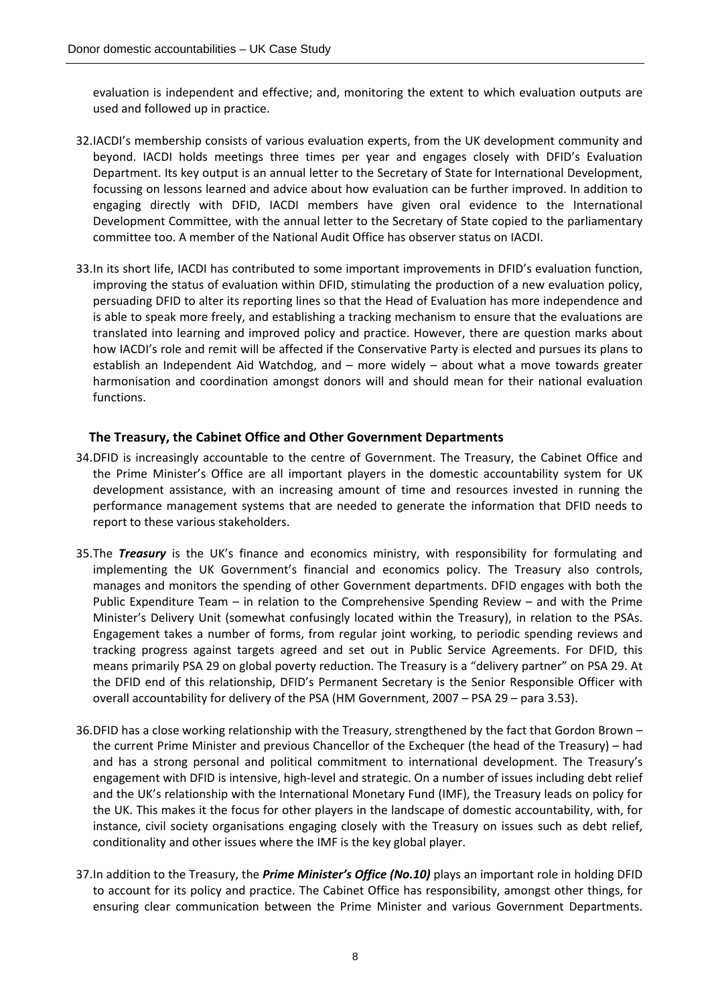evaluation is independent and effective; and, monitoring the extent to which evaluation outputs are used and followed up in practice.

- 32.IACDI's membership consists of various evaluation experts, from the UK development community and beyond. IACDI holds meetings three times per year and engages closely with DFID's Evaluation Department. Its key output is an annual letter to the Secretary of State for International Development, focussing on lessons learned and advice about how evaluation can be further improved. In addition to engaging directly with DFID, IACDI members have given oral evidence to the International Development Committee, with the annual letter to the Secretary of State copied to the parliamentary committee too. A member of the National Audit Office has observer status on IACDI.
- 33.In its short life, IACDI has contributed to some important improvements in DFID's evaluation function, improving the status of evaluation within DFID, stimulating the production of a new evaluation policy, persuading DFID to alter its reporting lines so that the Head of Evaluation has more independence and is able to speak more freely, and establishing a tracking mechanism to ensure that the evaluations are translated into learning and improved policy and practice. However, there are question marks about how IACDI's role and remit will be affected if the Conservative Party is elected and pursues its plans to establish an Independent Aid Watchdog, and – more widely – about what a move towards greater harmonisation and coordination amongst donors will and should mean for their national evaluation functions.

#### **The Treasury, the Cabinet Office and Other Government Departments**

- 34.DFID is increasingly accountable to the centre of Government. The Treasury, the Cabinet Office and the Prime Minister's Office are all important players in the domestic accountability system for UK development assistance, with an increasing amount of time and resources invested in running the performance management systems that are needed to generate the information that DFID needs to report to these various stakeholders.
- 35.The *Treasury* is the UK's finance and economics ministry, with responsibility for formulating and implementing the UK Government's financial and economics policy. The Treasury also controls, manages and monitors the spending of other Government departments. DFID engages with both the Public Expenditure Team – in relation to the Comprehensive Spending Review – and with the Prime Minister's Delivery Unit (somewhat confusingly located within the Treasury), in relation to the PSAs. Engagement takes a number of forms, from regular joint working, to periodic spending reviews and tracking progress against targets agreed and set out in Public Service Agreements. For DFID, this means primarily PSA 29 on global poverty reduction. The Treasury is a "delivery partner" on PSA 29. At the DFID end of this relationship, DFID's Permanent Secretary is the Senior Responsible Officer with overall accountability for delivery of the PSA (HM Government, 2007 – PSA 29 – para 3.53).
- 36.DFID has a close working relationship with the Treasury, strengthened by the fact that Gordon Brown the current Prime Minister and previous Chancellor of the Exchequer (the head of the Treasury) – had and has a strong personal and political commitment to international development. The Treasury's engagement with DFID is intensive, high-level and strategic. On a number of issues including debt relief and the UK's relationship with the International Monetary Fund (IMF), the Treasury leads on policy for the UK. This makes it the focus for other players in the landscape of domestic accountability, with, for instance, civil society organisations engaging closely with the Treasury on issues such as debt relief, conditionality and other issues where the IMF is the key global player.
- 37.In addition to the Treasury, the *Prime Minister's Office (No.10)* plays an important role in holding DFID to account for its policy and practice. The Cabinet Office has responsibility, amongst other things, for ensuring clear communication between the Prime Minister and various Government Departments.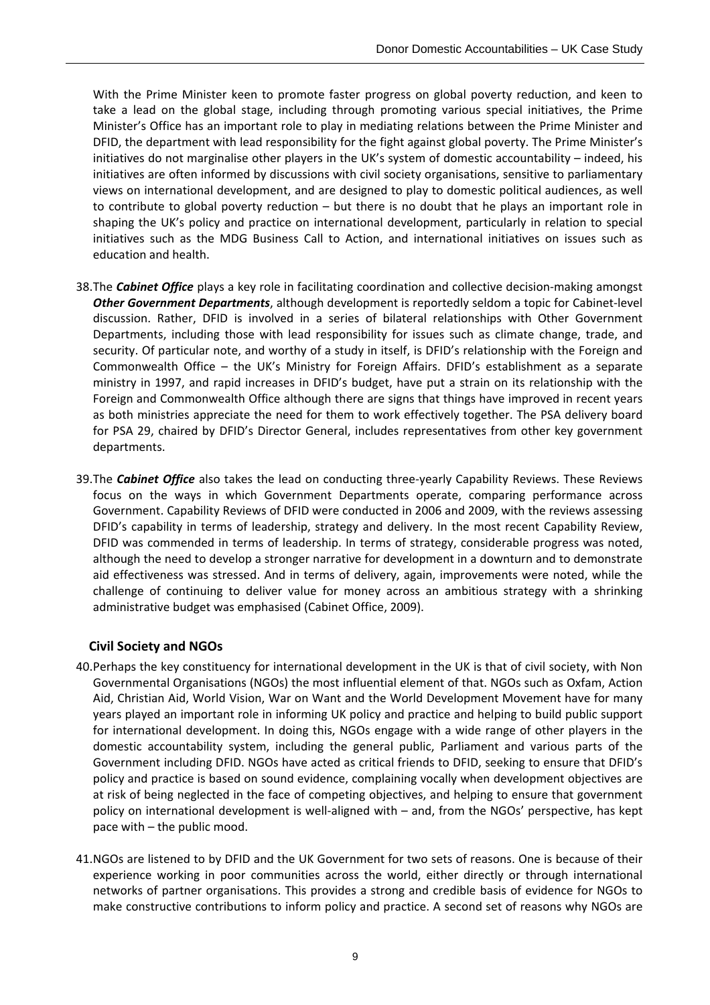With the Prime Minister keen to promote faster progress on global poverty reduction, and keen to take a lead on the global stage, including through promoting various special initiatives, the Prime Minister's Office has an important role to play in mediating relations between the Prime Minister and DFID, the department with lead responsibility for the fight against global poverty. The Prime Minister's initiatives do not marginalise other players in the UK's system of domestic accountability – indeed, his initiatives are often informed by discussions with civil society organisations, sensitive to parliamentary views on international development, and are designed to play to domestic political audiences, as well to contribute to global poverty reduction – but there is no doubt that he plays an important role in shaping the UK's policy and practice on international development, particularly in relation to special initiatives such as the MDG Business Call to Action, and international initiatives on issues such as education and health.

- 38.The *Cabinet Office* plays a key role in facilitating coordination and collective decision‐making amongst *Other Government Departments*, although development is reportedly seldom a topic for Cabinet‐level discussion. Rather, DFID is involved in a series of bilateral relationships with Other Government Departments, including those with lead responsibility for issues such as climate change, trade, and security. Of particular note, and worthy of a study in itself, is DFID's relationship with the Foreign and Commonwealth Office – the UK's Ministry for Foreign Affairs. DFID's establishment as a separate ministry in 1997, and rapid increases in DFID's budget, have put a strain on its relationship with the Foreign and Commonwealth Office although there are signs that things have improved in recent years as both ministries appreciate the need for them to work effectively together. The PSA delivery board for PSA 29, chaired by DFID's Director General, includes representatives from other key government departments.
- 39.The *Cabinet Office* also takes the lead on conducting three‐yearly Capability Reviews. These Reviews focus on the ways in which Government Departments operate, comparing performance across Government. Capability Reviews of DFID were conducted in 2006 and 2009, with the reviews assessing DFID's capability in terms of leadership, strategy and delivery. In the most recent Capability Review, DFID was commended in terms of leadership. In terms of strategy, considerable progress was noted, although the need to develop a stronger narrative for development in a downturn and to demonstrate aid effectiveness was stressed. And in terms of delivery, again, improvements were noted, while the challenge of continuing to deliver value for money across an ambitious strategy with a shrinking administrative budget was emphasised (Cabinet Office, 2009).

#### **Civil Society and NGOs**

- 40.Perhaps the key constituency for international development in the UK is that of civil society, with Non Governmental Organisations (NGOs) the most influential element of that. NGOs such as Oxfam, Action Aid, Christian Aid, World Vision, War on Want and the World Development Movement have for many years played an important role in informing UK policy and practice and helping to build public support for international development. In doing this, NGOs engage with a wide range of other players in the domestic accountability system, including the general public, Parliament and various parts of the Government including DFID. NGOs have acted as critical friends to DFID, seeking to ensure that DFID's policy and practice is based on sound evidence, complaining vocally when development objectives are at risk of being neglected in the face of competing objectives, and helping to ensure that government policy on international development is well-aligned with – and, from the NGOs' perspective, has kept pace with – the public mood.
- 41.NGOs are listened to by DFID and the UK Government for two sets of reasons. One is because of their experience working in poor communities across the world, either directly or through international networks of partner organisations. This provides a strong and credible basis of evidence for NGOs to make constructive contributions to inform policy and practice. A second set of reasons why NGOs are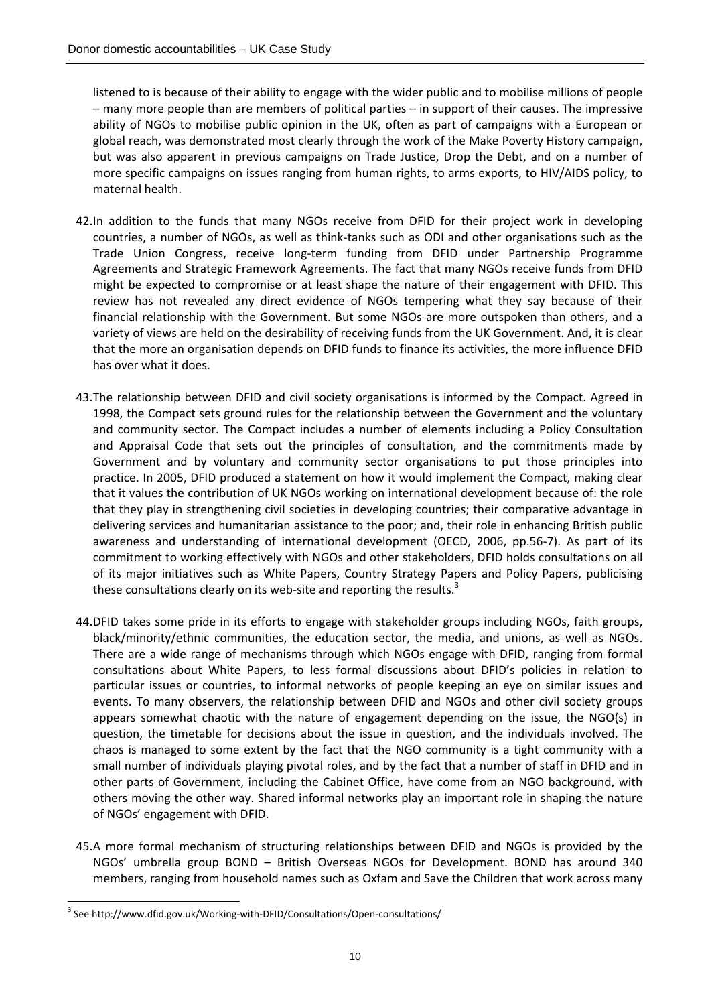listened to is because of their ability to engage with the wider public and to mobilise millions of people – many more people than are members of political parties – in support of their causes. The impressive ability of NGOs to mobilise public opinion in the UK, often as part of campaigns with a European or global reach, was demonstrated most clearly through the work of the Make Poverty History campaign, but was also apparent in previous campaigns on Trade Justice, Drop the Debt, and on a number of more specific campaigns on issues ranging from human rights, to arms exports, to HIV/AIDS policy, to maternal health.

- 42.In addition to the funds that many NGOs receive from DFID for their project work in developing countries, a number of NGOs, as well as think‐tanks such as ODI and other organisations such as the Trade Union Congress, receive long‐term funding from DFID under Partnership Programme Agreements and Strategic Framework Agreements. The fact that many NGOs receive funds from DFID might be expected to compromise or at least shape the nature of their engagement with DFID. This review has not revealed any direct evidence of NGOs tempering what they say because of their financial relationship with the Government. But some NGOs are more outspoken than others, and a variety of views are held on the desirability of receiving funds from the UK Government. And, it is clear that the more an organisation depends on DFID funds to finance its activities, the more influence DFID has over what it does.
- 43.The relationship between DFID and civil society organisations is informed by the Compact. Agreed in 1998, the Compact sets ground rules for the relationship between the Government and the voluntary and community sector. The Compact includes a number of elements including a Policy Consultation and Appraisal Code that sets out the principles of consultation, and the commitments made by Government and by voluntary and community sector organisations to put those principles into practice. In 2005, DFID produced a statement on how it would implement the Compact, making clear that it values the contribution of UK NGOs working on international development because of: the role that they play in strengthening civil societies in developing countries; their comparative advantage in delivering services and humanitarian assistance to the poor; and, their role in enhancing British public awareness and understanding of international development (OECD, 2006, pp.56‐7). As part of its commitment to working effectively with NGOs and other stakeholders, DFID holds consultations on all of its major initiatives such as White Papers, Country Strategy Papers and Policy Papers, publicising these consultations clearly on its web-site and reporting the results.<sup>3</sup>
- 44.DFID takes some pride in its efforts to engage with stakeholder groups including NGOs, faith groups, black/minority/ethnic communities, the education sector, the media, and unions, as well as NGOs. There are a wide range of mechanisms through which NGOs engage with DFID, ranging from formal consultations about White Papers, to less formal discussions about DFID's policies in relation to particular issues or countries, to informal networks of people keeping an eye on similar issues and events. To many observers, the relationship between DFID and NGOs and other civil society groups appears somewhat chaotic with the nature of engagement depending on the issue, the NGO(s) in question, the timetable for decisions about the issue in question, and the individuals involved. The chaos is managed to some extent by the fact that the NGO community is a tight community with a small number of individuals playing pivotal roles, and by the fact that a number of staff in DFID and in other parts of Government, including the Cabinet Office, have come from an NGO background, with others moving the other way. Shared informal networks play an important role in shaping the nature of NGOs' engagement with DFID.
- 45.A more formal mechanism of structuring relationships between DFID and NGOs is provided by the NGOs' umbrella group BOND – British Overseas NGOs for Development. BOND has around 340 members, ranging from household names such as Oxfam and Save the Children that work across many

<sup>&</sup>lt;sup>3</sup> See http://www.dfid.gov.uk/Working-with-DFID/Consultations/Open-consultations/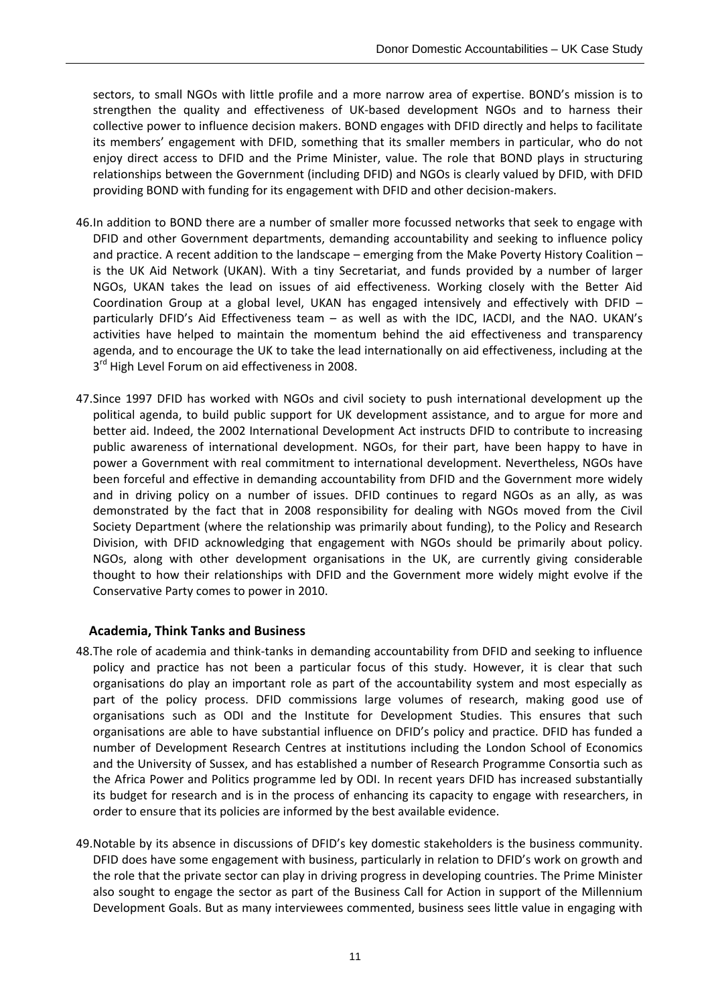sectors, to small NGOs with little profile and a more narrow area of expertise. BOND's mission is to strengthen the quality and effectiveness of UK-based development NGOs and to harness their collective power to influence decision makers. BOND engages with DFID directly and helps to facilitate its members' engagement with DFID, something that its smaller members in particular, who do not enjoy direct access to DFID and the Prime Minister, value. The role that BOND plays in structuring relationships between the Government (including DFID) and NGOs is clearly valued by DFID, with DFID providing BOND with funding for its engagement with DFID and other decision‐makers.

- 46.In addition to BOND there are a number of smaller more focussed networks that seek to engage with DFID and other Government departments, demanding accountability and seeking to influence policy and practice. A recent addition to the landscape – emerging from the Make Poverty History Coalition – is the UK Aid Network (UKAN). With a tiny Secretariat, and funds provided by a number of larger NGOs, UKAN takes the lead on issues of aid effectiveness. Working closely with the Better Aid Coordination Group at a global level, UKAN has engaged intensively and effectively with DFID – particularly DFID's Aid Effectiveness team – as well as with the IDC, IACDI, and the NAO. UKAN's activities have helped to maintain the momentum behind the aid effectiveness and transparency agenda, and to encourage the UK to take the lead internationally on aid effectiveness, including at the 3<sup>rd</sup> High Level Forum on aid effectiveness in 2008.
- 47.Since 1997 DFID has worked with NGOs and civil society to push international development up the political agenda, to build public support for UK development assistance, and to argue for more and better aid. Indeed, the 2002 International Development Act instructs DFID to contribute to increasing public awareness of international development. NGOs, for their part, have been happy to have in power a Government with real commitment to international development. Nevertheless, NGOs have been forceful and effective in demanding accountability from DFID and the Government more widely and in driving policy on a number of issues. DFID continues to regard NGOs as an ally, as was demonstrated by the fact that in 2008 responsibility for dealing with NGOs moved from the Civil Society Department (where the relationship was primarily about funding), to the Policy and Research Division, with DFID acknowledging that engagement with NGOs should be primarily about policy. NGOs, along with other development organisations in the UK, are currently giving considerable thought to how their relationships with DFID and the Government more widely might evolve if the Conservative Party comes to power in 2010.

#### **Academia, Think Tanks and Business**

- 48.The role of academia and think‐tanks in demanding accountability from DFID and seeking to influence policy and practice has not been a particular focus of this study. However, it is clear that such organisations do play an important role as part of the accountability system and most especially as part of the policy process. DFID commissions large volumes of research, making good use of organisations such as ODI and the Institute for Development Studies. This ensures that such organisations are able to have substantial influence on DFID's policy and practice. DFID has funded a number of Development Research Centres at institutions including the London School of Economics and the University of Sussex, and has established a number of Research Programme Consortia such as the Africa Power and Politics programme led by ODI. In recent years DFID has increased substantially its budget for research and is in the process of enhancing its capacity to engage with researchers, in order to ensure that its policies are informed by the best available evidence.
- 49.Notable by its absence in discussions of DFID's key domestic stakeholders is the business community. DFID does have some engagement with business, particularly in relation to DFID's work on growth and the role that the private sector can play in driving progress in developing countries. The Prime Minister also sought to engage the sector as part of the Business Call for Action in support of the Millennium Development Goals. But as many interviewees commented, business sees little value in engaging with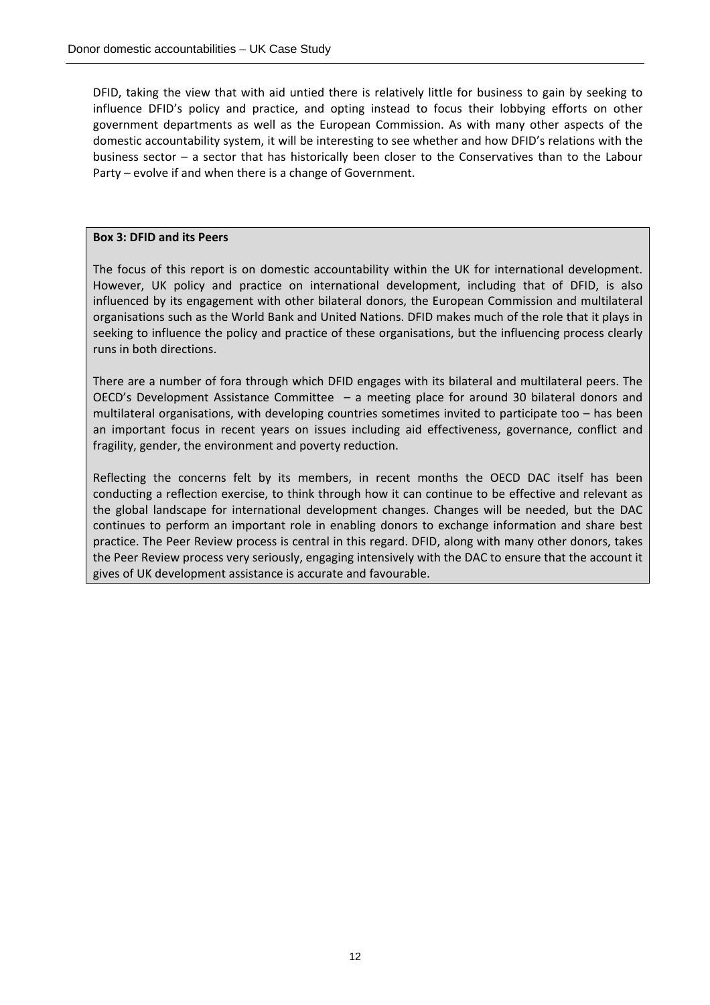DFID, taking the view that with aid untied there is relatively little for business to gain by seeking to influence DFID's policy and practice, and opting instead to focus their lobbying efforts on other government departments as well as the European Commission. As with many other aspects of the domestic accountability system, it will be interesting to see whether and how DFID's relations with the business sector – a sector that has historically been closer to the Conservatives than to the Labour Party – evolve if and when there is a change of Government.

#### **Box 3: DFID and its Peers**

The focus of this report is on domestic accountability within the UK for international development. However, UK policy and practice on international development, including that of DFID, is also influenced by its engagement with other bilateral donors, the European Commission and multilateral organisations such as the World Bank and United Nations. DFID makes much of the role that it plays in seeking to influence the policy and practice of these organisations, but the influencing process clearly runs in both directions.

There are a number of fora through which DFID engages with its bilateral and multilateral peers. The OECD's Development Assistance Committee – a meeting place for around 30 bilateral donors and multilateral organisations, with developing countries sometimes invited to participate too – has been an important focus in recent years on issues including aid effectiveness, governance, conflict and fragility, gender, the environment and poverty reduction.

Reflecting the concerns felt by its members, in recent months the OECD DAC itself has been conducting a reflection exercise, to think through how it can continue to be effective and relevant as the global landscape for international development changes. Changes will be needed, but the DAC continues to perform an important role in enabling donors to exchange information and share best practice. The Peer Review process is central in this regard. DFID, along with many other donors, takes the Peer Review process very seriously, engaging intensively with the DAC to ensure that the account it gives of UK development assistance is accurate and favourable.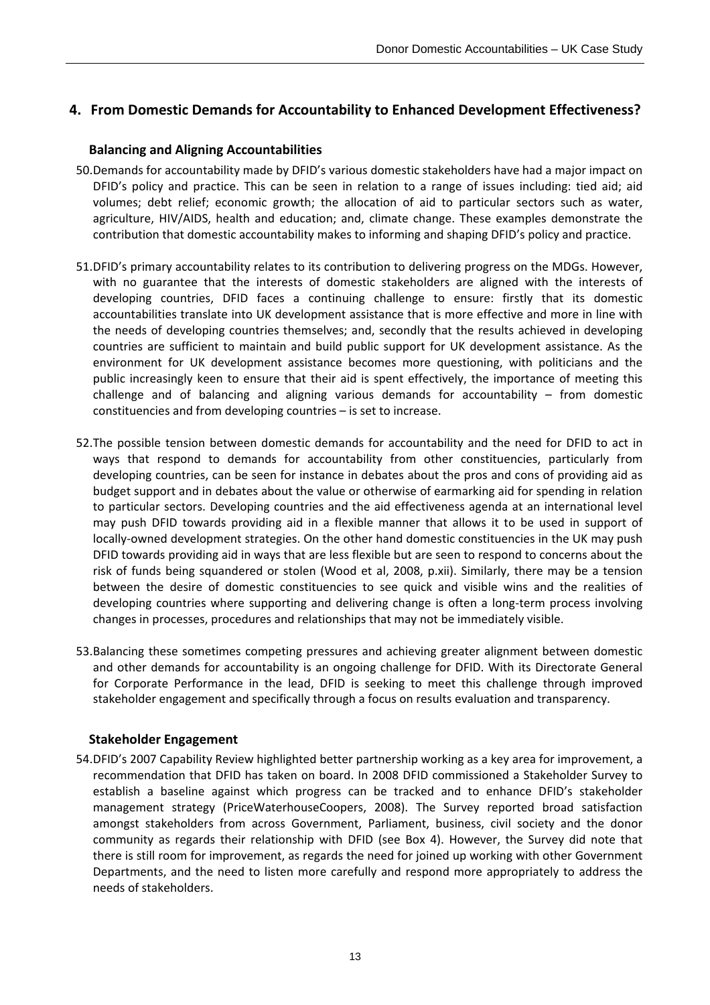### **4. From Domestic Demands for Accountability to Enhanced Development Effectiveness?**

#### **Balancing and Aligning Accountabilities**

- 50.Demands for accountability made by DFID's various domestic stakeholders have had a major impact on DFID's policy and practice. This can be seen in relation to a range of issues including: tied aid; aid volumes; debt relief; economic growth; the allocation of aid to particular sectors such as water, agriculture, HIV/AIDS, health and education; and, climate change. These examples demonstrate the contribution that domestic accountability makes to informing and shaping DFID's policy and practice.
- 51.DFID's primary accountability relates to its contribution to delivering progress on the MDGs. However, with no guarantee that the interests of domestic stakeholders are aligned with the interests of developing countries, DFID faces a continuing challenge to ensure: firstly that its domestic accountabilities translate into UK development assistance that is more effective and more in line with the needs of developing countries themselves; and, secondly that the results achieved in developing countries are sufficient to maintain and build public support for UK development assistance. As the environment for UK development assistance becomes more questioning, with politicians and the public increasingly keen to ensure that their aid is spent effectively, the importance of meeting this challenge and of balancing and aligning various demands for accountability – from domestic constituencies and from developing countries – is set to increase.
- 52.The possible tension between domestic demands for accountability and the need for DFID to act in ways that respond to demands for accountability from other constituencies, particularly from developing countries, can be seen for instance in debates about the pros and cons of providing aid as budget support and in debates about the value or otherwise of earmarking aid for spending in relation to particular sectors. Developing countries and the aid effectiveness agenda at an international level may push DFID towards providing aid in a flexible manner that allows it to be used in support of locally-owned development strategies. On the other hand domestic constituencies in the UK may push DFID towards providing aid in ways that are less flexible but are seen to respond to concerns about the risk of funds being squandered or stolen (Wood et al, 2008, p.xii). Similarly, there may be a tension between the desire of domestic constituencies to see quick and visible wins and the realities of developing countries where supporting and delivering change is often a long-term process involving changes in processes, procedures and relationships that may not be immediately visible.
- 53.Balancing these sometimes competing pressures and achieving greater alignment between domestic and other demands for accountability is an ongoing challenge for DFID. With its Directorate General for Corporate Performance in the lead, DFID is seeking to meet this challenge through improved stakeholder engagement and specifically through a focus on results evaluation and transparency.

#### **Stakeholder Engagement**

54.DFID's 2007 Capability Review highlighted better partnership working as a key area for improvement, a recommendation that DFID has taken on board. In 2008 DFID commissioned a Stakeholder Survey to establish a baseline against which progress can be tracked and to enhance DFID's stakeholder management strategy (PriceWaterhouseCoopers, 2008). The Survey reported broad satisfaction amongst stakeholders from across Government, Parliament, business, civil society and the donor community as regards their relationship with DFID (see Box 4). However, the Survey did note that there is still room for improvement, as regards the need for joined up working with other Government Departments, and the need to listen more carefully and respond more appropriately to address the needs of stakeholders.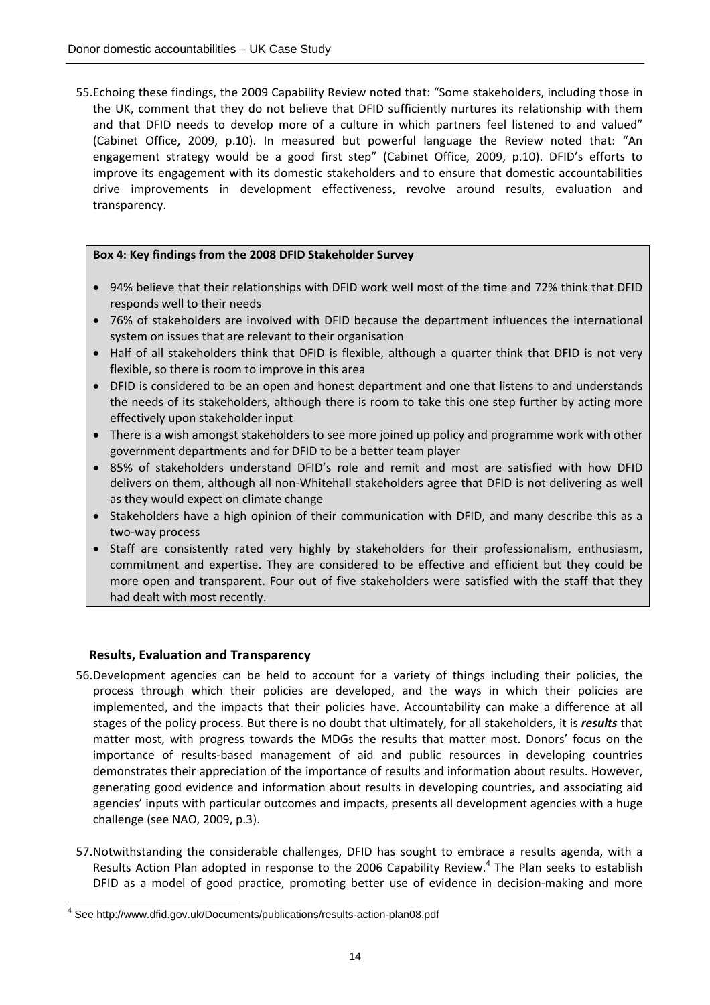55.Echoing these findings, the 2009 Capability Review noted that: "Some stakeholders, including those in the UK, comment that they do not believe that DFID sufficiently nurtures its relationship with them and that DFID needs to develop more of a culture in which partners feel listened to and valued" (Cabinet Office, 2009, p.10). In measured but powerful language the Review noted that: "An engagement strategy would be a good first step" (Cabinet Office, 2009, p.10). DFID's efforts to improve its engagement with its domestic stakeholders and to ensure that domestic accountabilities drive improvements in development effectiveness, revolve around results, evaluation and transparency.

#### **Box 4: Key findings from the 2008 DFID Stakeholder Survey**

- 94% believe that their relationships with DFID work well most of the time and 72% think that DFID responds well to their needs
- 76% of stakeholders are involved with DFID because the department influences the international system on issues that are relevant to their organisation
- Half of all stakeholders think that DFID is flexible, although a quarter think that DFID is not very flexible, so there is room to improve in this area
- DFID is considered to be an open and honest department and one that listens to and understands the needs of its stakeholders, although there is room to take this one step further by acting more effectively upon stakeholder input
- There is a wish amongst stakeholders to see more joined up policy and programme work with other government departments and for DFID to be a better team player
- 85% of stakeholders understand DFID's role and remit and most are satisfied with how DFID delivers on them, although all non‐Whitehall stakeholders agree that DFID is not delivering as well as they would expect on climate change
- Stakeholders have a high opinion of their communication with DFID, and many describe this as a two‐way process
- Staff are consistently rated very highly by stakeholders for their professionalism, enthusiasm, commitment and expertise. They are considered to be effective and efficient but they could be more open and transparent. Four out of five stakeholders were satisfied with the staff that they had dealt with most recently.

#### **Results, Evaluation and Transparency**

- 56.Development agencies can be held to account for a variety of things including their policies, the process through which their policies are developed, and the ways in which their policies are implemented, and the impacts that their policies have. Accountability can make a difference at all stages of the policy process. But there is no doubt that ultimately, for all stakeholders, it is *results* that matter most, with progress towards the MDGs the results that matter most. Donors' focus on the importance of results‐based management of aid and public resources in developing countries demonstrates their appreciation of the importance of results and information about results. However, generating good evidence and information about results in developing countries, and associating aid agencies' inputs with particular outcomes and impacts, presents all development agencies with a huge challenge (see NAO, 2009, p.3).
- 57.Notwithstanding the considerable challenges, DFID has sought to embrace a results agenda, with a Results Action Plan adopted in response to the 2006 Capability Review.<sup>4</sup> The Plan seeks to establish DFID as a model of good practice, promoting better use of evidence in decision-making and more

 $\overline{a}$ 4 See http://www.dfid.gov.uk/Documents/publications/results-action-plan08.pdf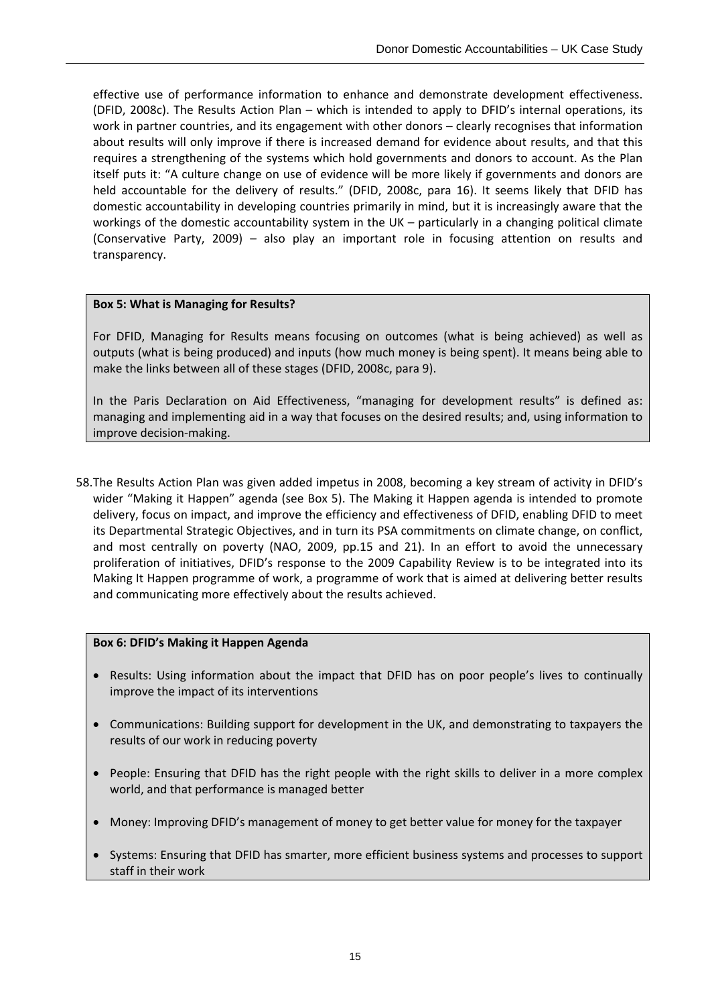effective use of performance information to enhance and demonstrate development effectiveness. (DFID, 2008c). The Results Action Plan – which is intended to apply to DFID's internal operations, its work in partner countries, and its engagement with other donors – clearly recognises that information about results will only improve if there is increased demand for evidence about results, and that this requires a strengthening of the systems which hold governments and donors to account. As the Plan itself puts it: "A culture change on use of evidence will be more likely if governments and donors are held accountable for the delivery of results." (DFID, 2008c, para 16). It seems likely that DFID has domestic accountability in developing countries primarily in mind, but it is increasingly aware that the workings of the domestic accountability system in the UK – particularly in a changing political climate (Conservative Party, 2009) – also play an important role in focusing attention on results and transparency.

#### **Box 5: What is Managing for Results?**

For DFID, Managing for Results means focusing on outcomes (what is being achieved) as well as outputs (what is being produced) and inputs (how much money is being spent). It means being able to make the links between all of these stages (DFID, 2008c, para 9).

In the Paris Declaration on Aid Effectiveness, "managing for development results" is defined as: managing and implementing aid in a way that focuses on the desired results; and, using information to improve decision‐making.

58.The Results Action Plan was given added impetus in 2008, becoming a key stream of activity in DFID's wider "Making it Happen" agenda (see Box 5). The Making it Happen agenda is intended to promote delivery, focus on impact, and improve the efficiency and effectiveness of DFID, enabling DFID to meet its Departmental Strategic Objectives, and in turn its PSA commitments on climate change, on conflict, and most centrally on poverty (NAO, 2009, pp.15 and 21). In an effort to avoid the unnecessary proliferation of initiatives, DFID's response to the 2009 Capability Review is to be integrated into its Making It Happen programme of work, a programme of work that is aimed at delivering better results and communicating more effectively about the results achieved.

#### **Box 6: DFID's Making it Happen Agenda**

- Results: Using information about the impact that DFID has on poor people's lives to continually improve the impact of its interventions
- Communications: Building support for development in the UK, and demonstrating to taxpayers the results of our work in reducing poverty
- People: Ensuring that DFID has the right people with the right skills to deliver in a more complex world, and that performance is managed better
- Money: Improving DFID's management of money to get better value for money for the taxpayer
- Systems: Ensuring that DFID has smarter, more efficient business systems and processes to support staff in their work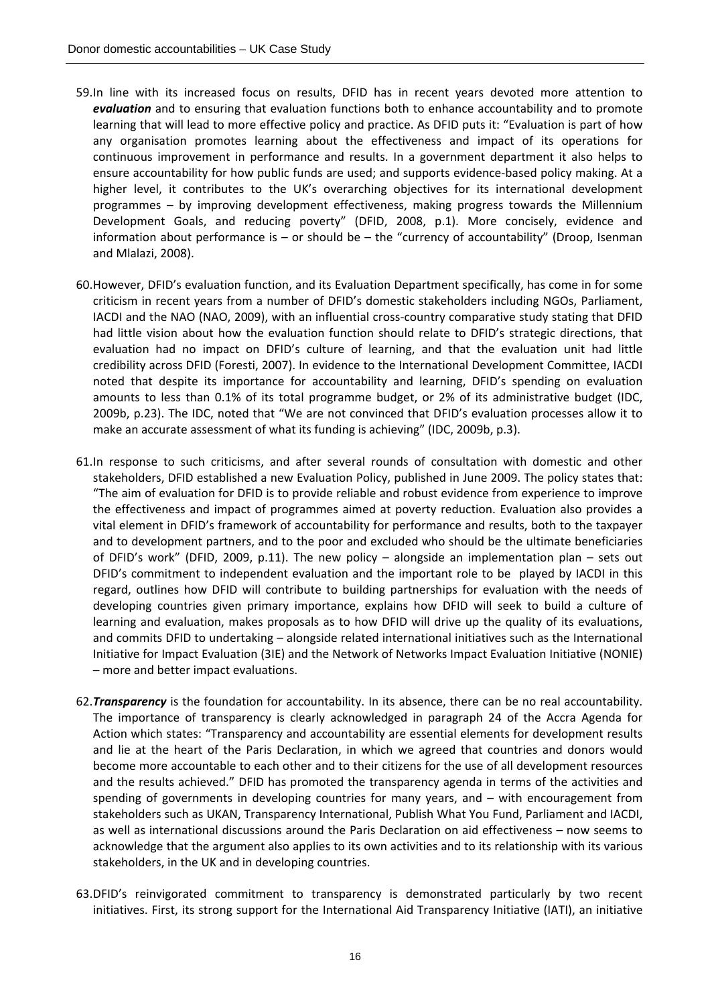- 59.In line with its increased focus on results, DFID has in recent years devoted more attention to *evaluation* and to ensuring that evaluation functions both to enhance accountability and to promote learning that will lead to more effective policy and practice. As DFID puts it: "Evaluation is part of how any organisation promotes learning about the effectiveness and impact of its operations for continuous improvement in performance and results. In a government department it also helps to ensure accountability for how public funds are used; and supports evidence-based policy making. At a higher level, it contributes to the UK's overarching objectives for its international development programmes – by improving development effectiveness, making progress towards the Millennium Development Goals, and reducing poverty" (DFID, 2008, p.1). More concisely, evidence and information about performance is  $-$  or should be  $-$  the "currency of accountability" (Droop, Isenman and Mlalazi, 2008).
- 60.However, DFID's evaluation function, and its Evaluation Department specifically, has come in for some criticism in recent years from a number of DFID's domestic stakeholders including NGOs, Parliament, IACDI and the NAO (NAO, 2009), with an influential cross‐country comparative study stating that DFID had little vision about how the evaluation function should relate to DFID's strategic directions, that evaluation had no impact on DFID's culture of learning, and that the evaluation unit had little credibility across DFID (Foresti, 2007). In evidence to the International Development Committee, IACDI noted that despite its importance for accountability and learning, DFID's spending on evaluation amounts to less than 0.1% of its total programme budget, or 2% of its administrative budget (IDC, 2009b, p.23). The IDC, noted that "We are not convinced that DFID's evaluation processes allow it to make an accurate assessment of what its funding is achieving" (IDC, 2009b, p.3).
- 61.In response to such criticisms, and after several rounds of consultation with domestic and other stakeholders, DFID established a new Evaluation Policy, published in June 2009. The policy states that: "The aim of evaluation for DFID is to provide reliable and robust evidence from experience to improve the effectiveness and impact of programmes aimed at poverty reduction. Evaluation also provides a vital element in DFID's framework of accountability for performance and results, both to the taxpayer and to development partners, and to the poor and excluded who should be the ultimate beneficiaries of DFID's work" (DFID, 2009, p.11). The new policy – alongside an implementation plan – sets out DFID's commitment to independent evaluation and the important role to be played by IACDI in this regard, outlines how DFID will contribute to building partnerships for evaluation with the needs of developing countries given primary importance, explains how DFID will seek to build a culture of learning and evaluation, makes proposals as to how DFID will drive up the quality of its evaluations, and commits DFID to undertaking – alongside related international initiatives such as the International Initiative for Impact Evaluation (3IE) and the Network of Networks Impact Evaluation Initiative (NONIE) – more and better impact evaluations.
- 62.*Transparency* is the foundation for accountability. In its absence, there can be no real accountability. The importance of transparency is clearly acknowledged in paragraph 24 of the Accra Agenda for Action which states: "Transparency and accountability are essential elements for development results and lie at the heart of the Paris Declaration, in which we agreed that countries and donors would become more accountable to each other and to their citizens for the use of all development resources and the results achieved." DFID has promoted the transparency agenda in terms of the activities and spending of governments in developing countries for many years, and – with encouragement from stakeholders such as UKAN, Transparency International, Publish What You Fund, Parliament and IACDI, as well as international discussions around the Paris Declaration on aid effectiveness – now seems to acknowledge that the argument also applies to its own activities and to its relationship with its various stakeholders, in the UK and in developing countries.
- 63.DFID's reinvigorated commitment to transparency is demonstrated particularly by two recent initiatives. First, its strong support for the International Aid Transparency Initiative (IATI), an initiative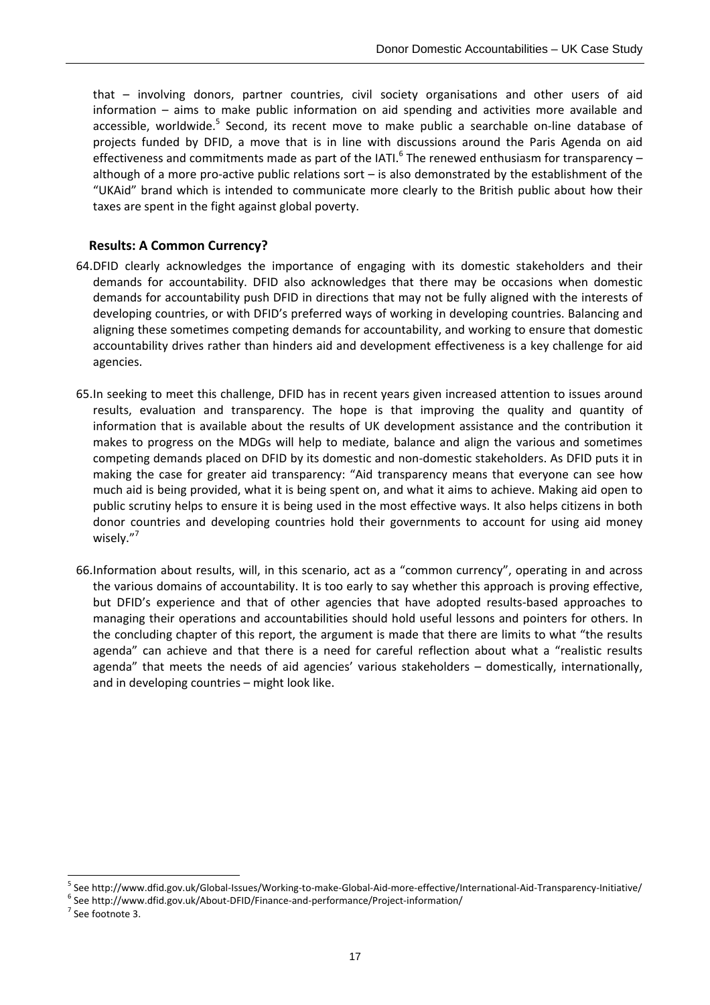that – involving donors, partner countries, civil society organisations and other users of aid information – aims to make public information on aid spending and activities more available and accessible, worldwide.<sup>5</sup> Second, its recent move to make public a searchable on-line database of projects funded by DFID, a move that is in line with discussions around the Paris Agenda on aid effectiveness and commitments made as part of the IATI.<sup>6</sup> The renewed enthusiasm for transparency – although of a more pro‐active public relations sort – is also demonstrated by the establishment of the "UKAid" brand which is intended to communicate more clearly to the British public about how their taxes are spent in the fight against global poverty.

#### **Results: A Common Currency?**

- 64.DFID clearly acknowledges the importance of engaging with its domestic stakeholders and their demands for accountability. DFID also acknowledges that there may be occasions when domestic demands for accountability push DFID in directions that may not be fully aligned with the interests of developing countries, or with DFID's preferred ways of working in developing countries. Balancing and aligning these sometimes competing demands for accountability, and working to ensure that domestic accountability drives rather than hinders aid and development effectiveness is a key challenge for aid agencies.
- 65.In seeking to meet this challenge, DFID has in recent years given increased attention to issues around results, evaluation and transparency. The hope is that improving the quality and quantity of information that is available about the results of UK development assistance and the contribution it makes to progress on the MDGs will help to mediate, balance and align the various and sometimes competing demands placed on DFID by its domestic and non‐domestic stakeholders. As DFID puts it in making the case for greater aid transparency: "Aid transparency means that everyone can see how much aid is being provided, what it is being spent on, and what it aims to achieve. Making aid open to public scrutiny helps to ensure it is being used in the most effective ways. It also helps citizens in both donor countries and developing countries hold their governments to account for using aid money wisely."<sup>7</sup>
- 66.Information about results, will, in this scenario, act as a "common currency", operating in and across the various domains of accountability. It is too early to say whether this approach is proving effective, but DFID's experience and that of other agencies that have adopted results-based approaches to managing their operations and accountabilities should hold useful lessons and pointers for others. In the concluding chapter of this report, the argument is made that there are limits to what "the results agenda" can achieve and that there is a need for careful reflection about what a "realistic results agenda" that meets the needs of aid agencies' various stakeholders – domestically, internationally, and in developing countries – might look like.

 $\overline{a}$ 

<sup>&</sup>lt;sup>5</sup> See http://www.dfid.gov.uk/Global-Issues/Working-to-make-Global-Aid-more-effective/International-Aid-Transparency-Initiative/<br><sup>6</sup> See http://www.dfid.gov.uk/About-DFID/Finance-and-performance/Project-information/<br><sup>7</sup>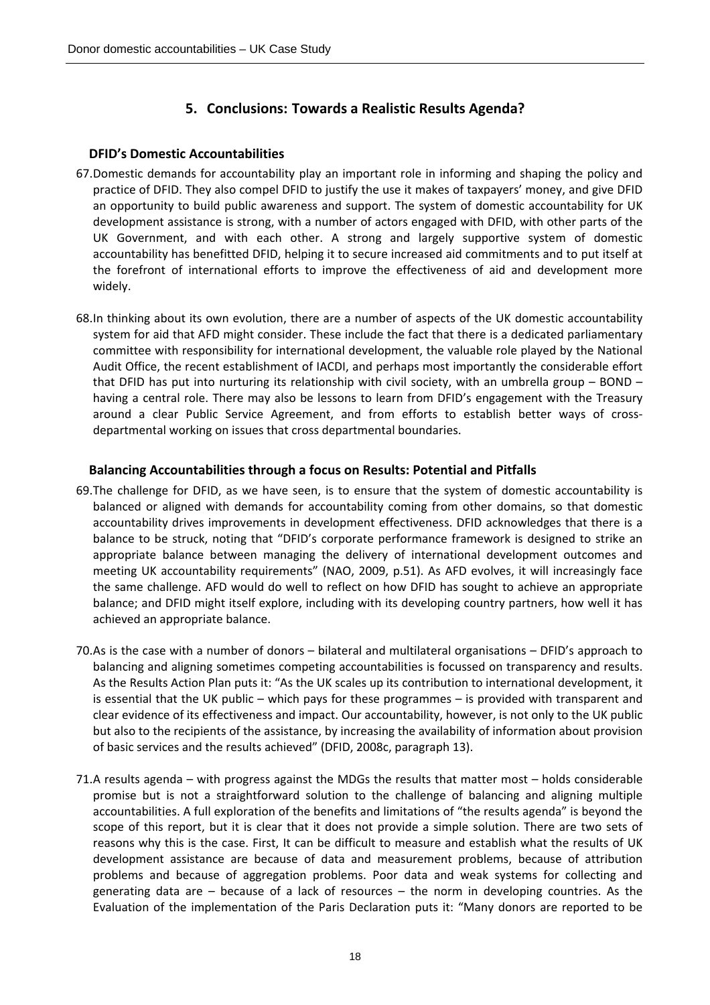## **5. Conclusions: Towards a Realistic Results Agenda?**

### **DFID's Domestic Accountabilities**

- 67.Domestic demands for accountability play an important role in informing and shaping the policy and practice of DFID. They also compel DFID to justify the use it makes of taxpayers' money, and give DFID an opportunity to build public awareness and support. The system of domestic accountability for UK development assistance is strong, with a number of actors engaged with DFID, with other parts of the UK Government, and with each other. A strong and largely supportive system of domestic accountability has benefitted DFID, helping it to secure increased aid commitments and to put itself at the forefront of international efforts to improve the effectiveness of aid and development more widely.
- 68.In thinking about its own evolution, there are a number of aspects of the UK domestic accountability system for aid that AFD might consider. These include the fact that there is a dedicated parliamentary committee with responsibility for international development, the valuable role played by the National Audit Office, the recent establishment of IACDI, and perhaps most importantly the considerable effort that DFID has put into nurturing its relationship with civil society, with an umbrella group – BOND – having a central role. There may also be lessons to learn from DFID's engagement with the Treasury around a clear Public Service Agreement, and from efforts to establish better ways of cross‐ departmental working on issues that cross departmental boundaries.

### **Balancing Accountabilities through a focus on Results: Potential and Pitfalls**

- 69.The challenge for DFID, as we have seen, is to ensure that the system of domestic accountability is balanced or aligned with demands for accountability coming from other domains, so that domestic accountability drives improvements in development effectiveness. DFID acknowledges that there is a balance to be struck, noting that "DFID's corporate performance framework is designed to strike an appropriate balance between managing the delivery of international development outcomes and meeting UK accountability requirements" (NAO, 2009, p.51). As AFD evolves, it will increasingly face the same challenge. AFD would do well to reflect on how DFID has sought to achieve an appropriate balance; and DFID might itself explore, including with its developing country partners, how well it has achieved an appropriate balance.
- 70.As is the case with a number of donors bilateral and multilateral organisations DFID's approach to balancing and aligning sometimes competing accountabilities is focussed on transparency and results. As the Results Action Plan puts it: "As the UK scales up its contribution to international development, it is essential that the UK public – which pays for these programmes – is provided with transparent and clear evidence of its effectiveness and impact. Our accountability, however, is not only to the UK public but also to the recipients of the assistance, by increasing the availability of information about provision of basic services and the results achieved" (DFID, 2008c, paragraph 13).
- 71.A results agenda with progress against the MDGs the results that matter most holds considerable promise but is not a straightforward solution to the challenge of balancing and aligning multiple accountabilities. A full exploration of the benefits and limitations of "the results agenda" is beyond the scope of this report, but it is clear that it does not provide a simple solution. There are two sets of reasons why this is the case. First, It can be difficult to measure and establish what the results of UK development assistance are because of data and measurement problems, because of attribution problems and because of aggregation problems. Poor data and weak systems for collecting and generating data are – because of a lack of resources – the norm in developing countries. As the Evaluation of the implementation of the Paris Declaration puts it: "Many donors are reported to be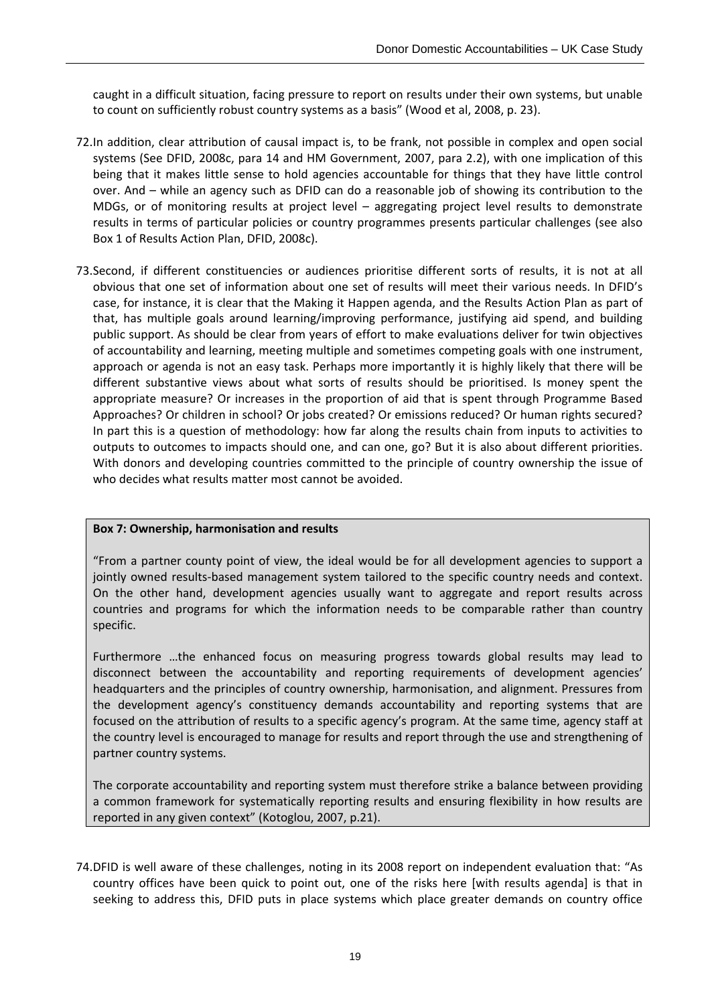caught in a difficult situation, facing pressure to report on results under their own systems, but unable to count on sufficiently robust country systems as a basis" (Wood et al, 2008, p. 23).

- 72.In addition, clear attribution of causal impact is, to be frank, not possible in complex and open social systems (See DFID, 2008c, para 14 and HM Government, 2007, para 2.2), with one implication of this being that it makes little sense to hold agencies accountable for things that they have little control over. And – while an agency such as DFID can do a reasonable job of showing its contribution to the MDGs, or of monitoring results at project level – aggregating project level results to demonstrate results in terms of particular policies or country programmes presents particular challenges (see also Box 1 of Results Action Plan, DFID, 2008c).
- 73.Second, if different constituencies or audiences prioritise different sorts of results, it is not at all obvious that one set of information about one set of results will meet their various needs. In DFID's case, for instance, it is clear that the Making it Happen agenda, and the Results Action Plan as part of that, has multiple goals around learning/improving performance, justifying aid spend, and building public support. As should be clear from years of effort to make evaluations deliver for twin objectives of accountability and learning, meeting multiple and sometimes competing goals with one instrument, approach or agenda is not an easy task. Perhaps more importantly it is highly likely that there will be different substantive views about what sorts of results should be prioritised. Is money spent the appropriate measure? Or increases in the proportion of aid that is spent through Programme Based Approaches? Or children in school? Or jobs created? Or emissions reduced? Or human rights secured? In part this is a question of methodology: how far along the results chain from inputs to activities to outputs to outcomes to impacts should one, and can one, go? But it is also about different priorities. With donors and developing countries committed to the principle of country ownership the issue of who decides what results matter most cannot be avoided.

#### **Box 7: Ownership, harmonisation and results**

"From a partner county point of view, the ideal would be for all development agencies to support a jointly owned results-based management system tailored to the specific country needs and context. On the other hand, development agencies usually want to aggregate and report results across countries and programs for which the information needs to be comparable rather than country specific.

Furthermore …the enhanced focus on measuring progress towards global results may lead to disconnect between the accountability and reporting requirements of development agencies' headquarters and the principles of country ownership, harmonisation, and alignment. Pressures from the development agency's constituency demands accountability and reporting systems that are focused on the attribution of results to a specific agency's program. At the same time, agency staff at the country level is encouraged to manage for results and report through the use and strengthening of partner country systems.

The corporate accountability and reporting system must therefore strike a balance between providing a common framework for systematically reporting results and ensuring flexibility in how results are reported in any given context" (Kotoglou, 2007, p.21).

74.DFID is well aware of these challenges, noting in its 2008 report on independent evaluation that: "As country offices have been quick to point out, one of the risks here [with results agenda] is that in seeking to address this, DFID puts in place systems which place greater demands on country office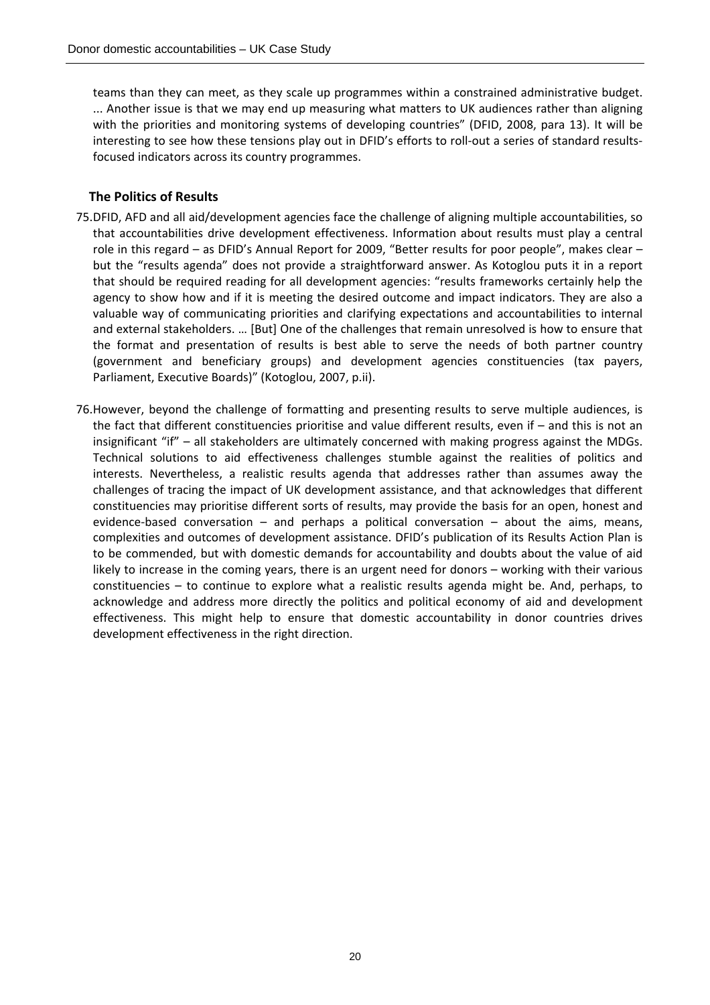teams than they can meet, as they scale up programmes within a constrained administrative budget. ... Another issue is that we may end up measuring what matters to UK audiences rather than aligning with the priorities and monitoring systems of developing countries" (DFID, 2008, para 13). It will be interesting to see how these tensions play out in DFID's efforts to roll‐out a series of standard results‐ focused indicators across its country programmes.

#### **The Politics of Results**

- 75.DFID, AFD and all aid/development agencies face the challenge of aligning multiple accountabilities, so that accountabilities drive development effectiveness. Information about results must play a central role in this regard – as DFID's Annual Report for 2009, "Better results for poor people", makes clear – but the "results agenda" does not provide a straightforward answer. As Kotoglou puts it in a report that should be required reading for all development agencies: "results frameworks certainly help the agency to show how and if it is meeting the desired outcome and impact indicators. They are also a valuable way of communicating priorities and clarifying expectations and accountabilities to internal and external stakeholders. … [But] One of the challenges that remain unresolved is how to ensure that the format and presentation of results is best able to serve the needs of both partner country (government and beneficiary groups) and development agencies constituencies (tax payers, Parliament, Executive Boards)" (Kotoglou, 2007, p.ii).
- 76.However, beyond the challenge of formatting and presenting results to serve multiple audiences, is the fact that different constituencies prioritise and value different results, even if – and this is not an insignificant "if" – all stakeholders are ultimately concerned with making progress against the MDGs. Technical solutions to aid effectiveness challenges stumble against the realities of politics and interests. Nevertheless, a realistic results agenda that addresses rather than assumes away the challenges of tracing the impact of UK development assistance, and that acknowledges that different constituencies may prioritise different sorts of results, may provide the basis for an open, honest and evidence-based conversation – and perhaps a political conversation – about the aims, means, complexities and outcomes of development assistance. DFID's publication of its Results Action Plan is to be commended, but with domestic demands for accountability and doubts about the value of aid likely to increase in the coming years, there is an urgent need for donors – working with their various constituencies – to continue to explore what a realistic results agenda might be. And, perhaps, to acknowledge and address more directly the politics and political economy of aid and development effectiveness. This might help to ensure that domestic accountability in donor countries drives development effectiveness in the right direction.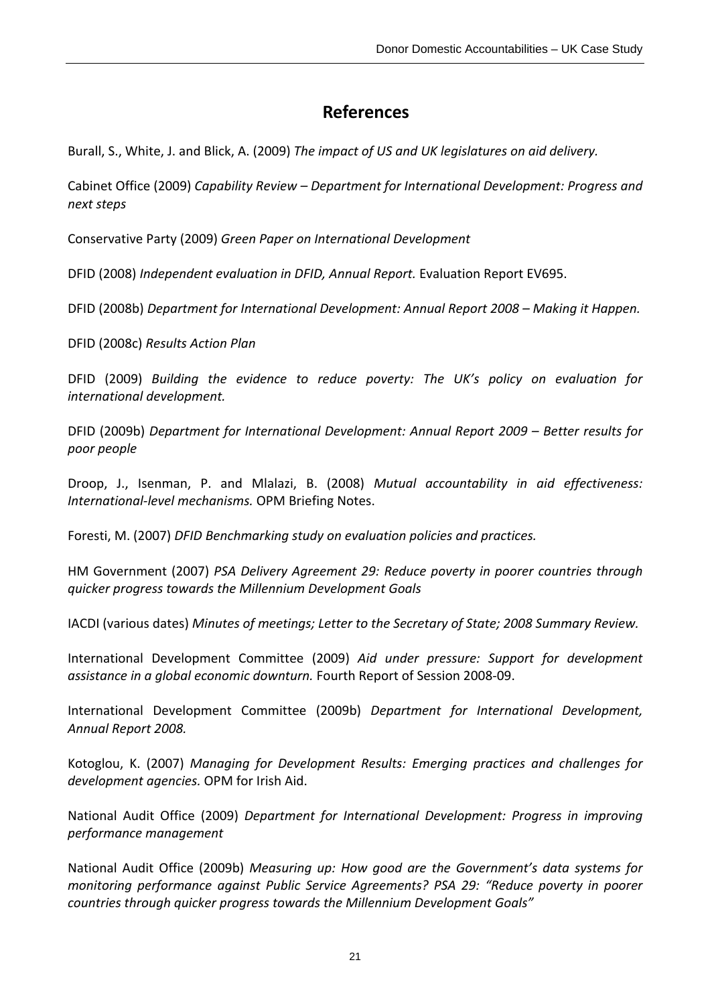# **References**

Burall, S., White, J. and Blick, A. (2009) *The impact of US and UK legislatures on aid delivery.*

Cabinet Office (2009) *Capability Review – Department for International Development: Progress and next steps*

Conservative Party (2009) *Green Paper on International Development*

DFID (2008) *Independent evaluation in DFID, Annual Report.* Evaluation Report EV695.

DFID (2008b) *Department for International Development: Annual Report 2008 – Making it Happen.*

DFID (2008c) *Results Action Plan*

DFID (2009) *Building the evidence to reduce poverty: The UK's policy on evaluation for international development.*

DFID (2009b) *Department for International Development: Annual Report 2009 – Better results for poor people*

Droop, J., Isenman, P. and Mlalazi, B. (2008) *Mutual accountability in aid effectiveness: International‐level mechanisms.* OPM Briefing Notes.

Foresti, M. (2007) *DFID Benchmarking study on evaluation policies and practices.*

HM Government (2007) *PSA Delivery Agreement 29: Reduce poverty in poorer countries through quicker progress towards the Millennium Development Goals*

IACDI (various dates) *Minutes of meetings; Letter to the Secretary of State; 2008 Summary Review.*

International Development Committee (2009) *Aid under pressure: Support for development assistance in a global economic downturn.* Fourth Report of Session 2008‐09.

International Development Committee (2009b) *Department for International Development, Annual Report 2008.*

Kotoglou, K. (2007) *Managing for Development Results: Emerging practices and challenges for development agencies.* OPM for Irish Aid.

National Audit Office (2009) *Department for International Development: Progress in improving performance management*

National Audit Office (2009b) *Measuring up: How good are the Government's data systems for monitoring performance against Public Service Agreements? PSA 29: "Reduce poverty in poorer countries through quicker progress towards the Millennium Development Goals"*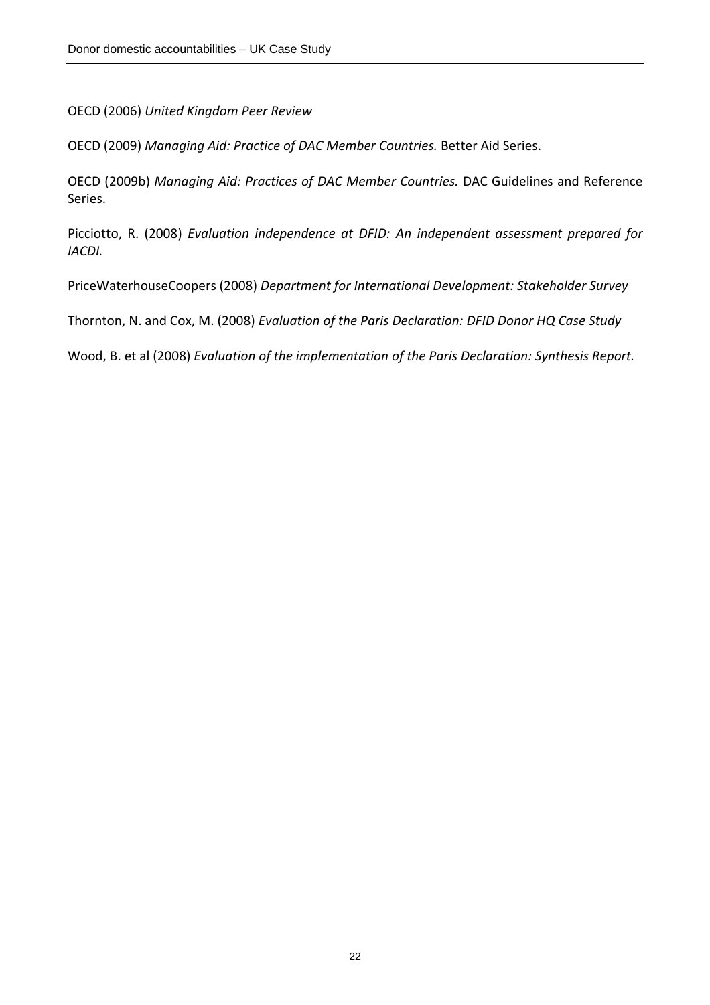OECD (2006) *United Kingdom Peer Review*

OECD (2009) *Managing Aid: Practice of DAC Member Countries.* Better Aid Series.

OECD (2009b) *Managing Aid: Practices of DAC Member Countries.* DAC Guidelines and Reference Series.

Picciotto, R. (2008) *Evaluation independence at DFID: An independent assessment prepared for IACDI.*

PriceWaterhouseCoopers (2008) *Department for International Development: Stakeholder Survey*

Thornton, N. and Cox, M. (2008) *Evaluation of the Paris Declaration: DFID Donor HQ Case Study*

Wood, B. et al (2008) *Evaluation of the implementation of the Paris Declaration: Synthesis Report.*